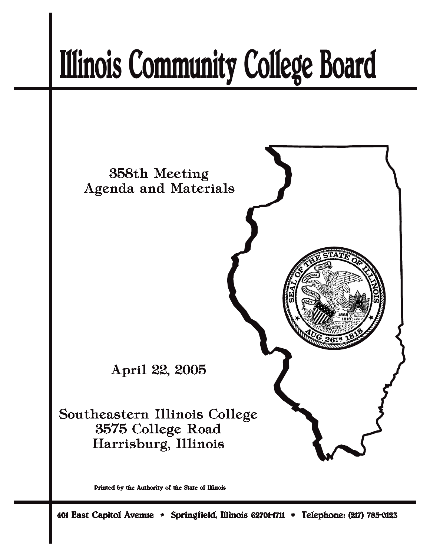# **Illinois Community College Board**



Printed by the Authority of the State of Illinois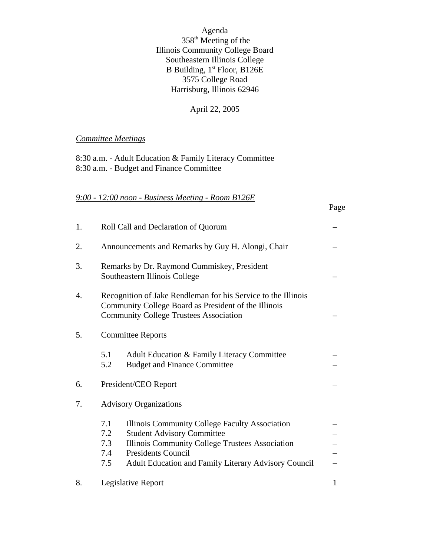Agenda 358th Meeting of the Illinois Community College Board Southeastern Illinois College B Building, 1<sup>st</sup> Floor, B126E 3575 College Road Harrisburg, Illinois 62946

#### April 22, 2005

Page

#### *Committee Meetings*

8:30 a.m. - Adult Education & Family Literacy Committee 8:30 a.m. - Budget and Finance Committee

#### *9:00 - 12:00 noon - Business Meeting - Room B126E*

| 1. | Roll Call and Declaration of Quorum                                                                                                                                                                                                                            |              |  |
|----|----------------------------------------------------------------------------------------------------------------------------------------------------------------------------------------------------------------------------------------------------------------|--------------|--|
| 2. | Announcements and Remarks by Guy H. Alongi, Chair                                                                                                                                                                                                              |              |  |
| 3. | Remarks by Dr. Raymond Cummiskey, President<br>Southeastern Illinois College                                                                                                                                                                                   |              |  |
| 4. | Recognition of Jake Rendleman for his Service to the Illinois<br>Community College Board as President of the Illinois<br><b>Community College Trustees Association</b>                                                                                         |              |  |
| 5. | <b>Committee Reports</b>                                                                                                                                                                                                                                       |              |  |
|    | Adult Education & Family Literacy Committee<br>5.1<br>5.2<br><b>Budget and Finance Committee</b>                                                                                                                                                               |              |  |
| 6. | President/CEO Report                                                                                                                                                                                                                                           |              |  |
| 7. | <b>Advisory Organizations</b>                                                                                                                                                                                                                                  |              |  |
|    | 7.1<br>Illinois Community College Faculty Association<br>7.2<br><b>Student Advisory Committee</b><br>7.3<br>Illinois Community College Trustees Association<br><b>Presidents Council</b><br>7.4<br>7.5<br>Adult Education and Family Literary Advisory Council |              |  |
| 8. | Legislative Report                                                                                                                                                                                                                                             | $\mathbf{1}$ |  |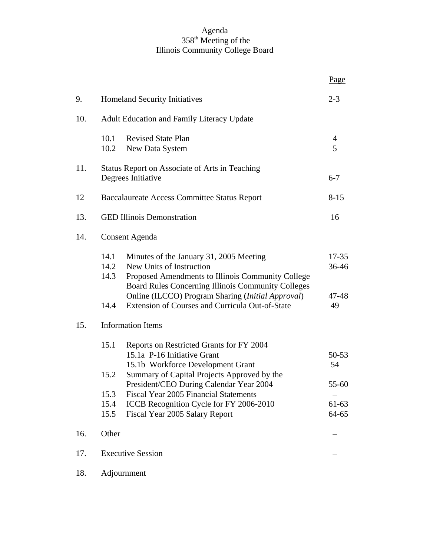#### Agenda 358th Meeting of the Illinois Community College Board

|     |                      |                                                                                                                                                                                                                                     | Page                        |  |
|-----|----------------------|-------------------------------------------------------------------------------------------------------------------------------------------------------------------------------------------------------------------------------------|-----------------------------|--|
| 9.  |                      | Homeland Security Initiatives                                                                                                                                                                                                       | $2 - 3$                     |  |
| 10. |                      | <b>Adult Education and Family Literacy Update</b>                                                                                                                                                                                   |                             |  |
|     | 10.1<br>10.2         | <b>Revised State Plan</b><br>New Data System                                                                                                                                                                                        | 4<br>5                      |  |
| 11. |                      | Status Report on Associate of Arts in Teaching<br>Degrees Initiative                                                                                                                                                                | $6 - 7$                     |  |
| 12  |                      | <b>Baccalaureate Access Committee Status Report</b>                                                                                                                                                                                 | $8 - 15$                    |  |
| 13. |                      | <b>GED Illinois Demonstration</b>                                                                                                                                                                                                   |                             |  |
| 14. |                      | <b>Consent Agenda</b>                                                                                                                                                                                                               |                             |  |
|     | 14.1<br>14.2<br>14.3 | Minutes of the January 31, 2005 Meeting<br>New Units of Instruction<br>Proposed Amendments to Illinois Community College<br>Board Rules Concerning Illinois Community Colleges<br>Online (ILCCO) Program Sharing (Initial Approval) | $17 - 35$<br>36-46<br>47-48 |  |
|     | 14.4                 | Extension of Courses and Curricula Out-of-State                                                                                                                                                                                     | 49                          |  |
| 15. |                      | <b>Information Items</b>                                                                                                                                                                                                            |                             |  |
|     | 15.1<br>15.2         | Reports on Restricted Grants for FY 2004<br>15.1a P-16 Initiative Grant<br>15.1b Workforce Development Grant<br>Summary of Capital Projects Approved by the                                                                         | $50 - 53$<br>54             |  |
|     |                      | President/CEO During Calendar Year 2004                                                                                                                                                                                             | 55-60                       |  |
|     | 15.3<br>15.4         | Fiscal Year 2005 Financial Statements<br>ICCB Recognition Cycle for FY 2006-2010                                                                                                                                                    | 61-63                       |  |
|     | 15.5                 | Fiscal Year 2005 Salary Report                                                                                                                                                                                                      | 64-65                       |  |
| 16. | Other                |                                                                                                                                                                                                                                     |                             |  |
| 17. |                      | <b>Executive Session</b>                                                                                                                                                                                                            |                             |  |
| 18. |                      | Adjournment                                                                                                                                                                                                                         |                             |  |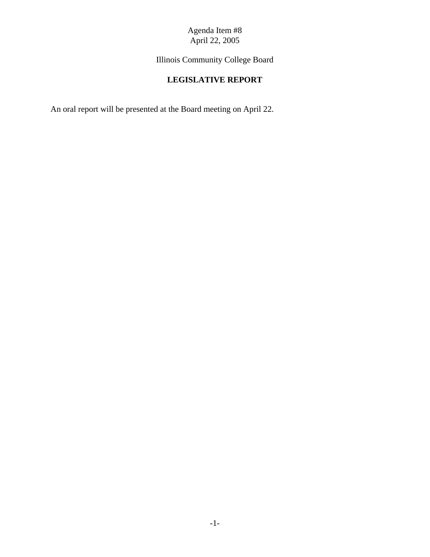Illinois Community College Board

# **LEGISLATIVE REPORT**

An oral report will be presented at the Board meeting on April 22.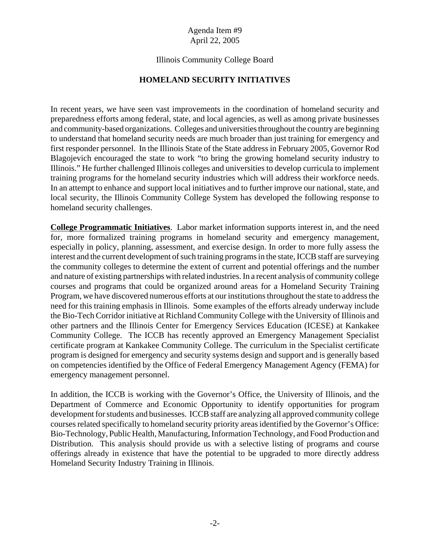# Illinois Community College Board

# **HOMELAND SECURITY INITIATIVES**

In recent years, we have seen vast improvements in the coordination of homeland security and preparedness efforts among federal, state, and local agencies, as well as among private businesses and community-based organizations. Colleges and universities throughout the country are beginning to understand that homeland security needs are much broader than just training for emergency and first responder personnel. In the Illinois State of the State address in February 2005, Governor Rod Blagojevich encouraged the state to work "to bring the growing homeland security industry to Illinois." He further challenged Illinois colleges and universities to develop curricula to implement training programs for the homeland security industries which will address their workforce needs. In an attempt to enhance and support local initiatives and to further improve our national, state, and local security, the Illinois Community College System has developed the following response to homeland security challenges.

**College Programmatic Initiatives**. Labor market information supports interest in, and the need for, more formalized training programs in homeland security and emergency management, especially in policy, planning, assessment, and exercise design. In order to more fully assess the interest and the current development of such training programs in the state, ICCB staff are surveying the community colleges to determine the extent of current and potential offerings and the number and nature of existing partnerships with related industries. In a recent analysis of community college courses and programs that could be organized around areas for a Homeland Security Training Program, we have discovered numerous efforts at our institutions throughout the state to address the need for this training emphasis in Illinois. Some examples of the efforts already underway include the Bio-Tech Corridor initiative at Richland Community College with the University of Illinois and other partners and the Illinois Center for Emergency Services Education (ICESE) at Kankakee Community College. The ICCB has recently approved an Emergency Management Specialist certificate program at Kankakee Community College. The curriculum in the Specialist certificate program is designed for emergency and security systems design and support and is generally based on competencies identified by the Office of Federal Emergency Management Agency (FEMA) for emergency management personnel.

In addition, the ICCB is working with the Governor's Office, the University of Illinois, and the Department of Commerce and Economic Opportunity to identify opportunities for program development for students and businesses. ICCB staff are analyzing all approved community college courses related specifically to homeland security priority areas identified by the Governor's Office: Bio-Technology, Public Health, Manufacturing, Information Technology, and Food Production and Distribution. This analysis should provide us with a selective listing of programs and course offerings already in existence that have the potential to be upgraded to more directly address Homeland Security Industry Training in Illinois.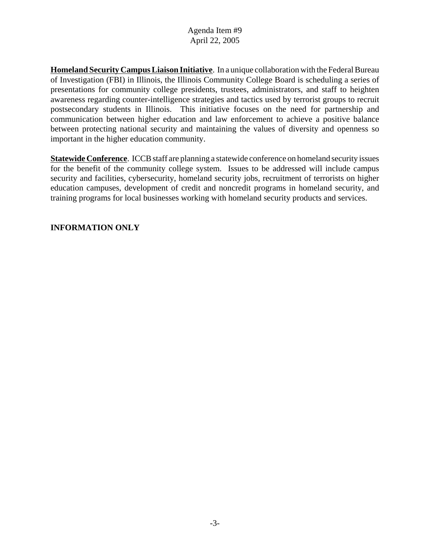**Homeland Security Campus Liaison Initiative**. In a unique collaboration with the Federal Bureau of Investigation (FBI) in Illinois, the Illinois Community College Board is scheduling a series of presentations for community college presidents, trustees, administrators, and staff to heighten awareness regarding counter-intelligence strategies and tactics used by terrorist groups to recruit postsecondary students in Illinois. This initiative focuses on the need for partnership and communication between higher education and law enforcement to achieve a positive balance between protecting national security and maintaining the values of diversity and openness so important in the higher education community.

**Statewide Conference**. ICCB staff are planning a statewide conference on homeland security issues for the benefit of the community college system. Issues to be addressed will include campus security and facilities, cybersecurity, homeland security jobs, recruitment of terrorists on higher education campuses, development of credit and noncredit programs in homeland security, and training programs for local businesses working with homeland security products and services.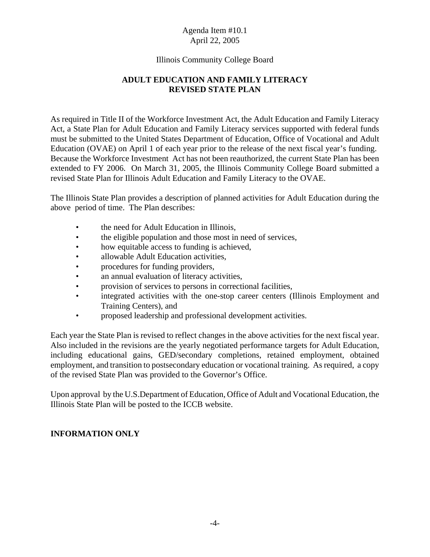#### Illinois Community College Board

# **ADULT EDUCATION AND FAMILY LITERACY REVISED STATE PLAN**

As required in Title II of the Workforce Investment Act, the Adult Education and Family Literacy Act, a State Plan for Adult Education and Family Literacy services supported with federal funds must be submitted to the United States Department of Education, Office of Vocational and Adult Education (OVAE) on April 1 of each year prior to the release of the next fiscal year's funding. Because the Workforce Investment Act has not been reauthorized, the current State Plan has been extended to FY 2006. On March 31, 2005, the Illinois Community College Board submitted a revised State Plan for Illinois Adult Education and Family Literacy to the OVAE.

The Illinois State Plan provides a description of planned activities for Adult Education during the above period of time. The Plan describes:

- the need for Adult Education in Illinois,
- the eligible population and those most in need of services,
- how equitable access to funding is achieved,
- allowable Adult Education activities.
- procedures for funding providers,
- an annual evaluation of literacy activities,
- provision of services to persons in correctional facilities,
- integrated activities with the one-stop career centers (Illinois Employment and Training Centers), and
- proposed leadership and professional development activities.

Each year the State Plan is revised to reflect changes in the above activities for the next fiscal year. Also included in the revisions are the yearly negotiated performance targets for Adult Education, including educational gains, GED/secondary completions, retained employment, obtained employment, and transition to postsecondary education or vocational training. As required, a copy of the revised State Plan was provided to the Governor's Office.

Upon approval by the U.S.Department of Education, Office of Adult and Vocational Education, the Illinois State Plan will be posted to the ICCB website.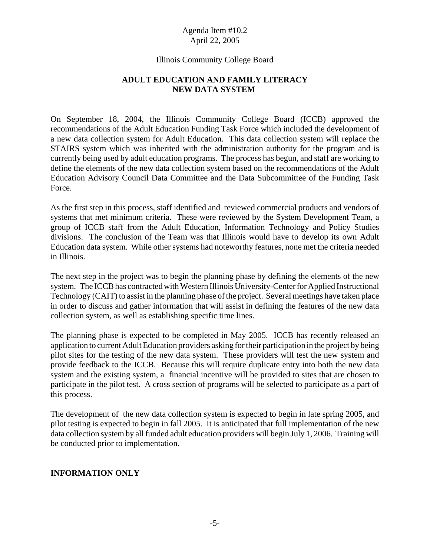#### Illinois Community College Board

# **ADULT EDUCATION AND FAMILY LITERACY NEW DATA SYSTEM**

On September 18, 2004, the Illinois Community College Board (ICCB) approved the recommendations of the Adult Education Funding Task Force which included the development of a new data collection system for Adult Education. This data collection system will replace the STAIRS system which was inherited with the administration authority for the program and is currently being used by adult education programs. The process has begun, and staff are working to define the elements of the new data collection system based on the recommendations of the Adult Education Advisory Council Data Committee and the Data Subcommittee of the Funding Task Force.

As the first step in this process, staff identified and reviewed commercial products and vendors of systems that met minimum criteria. These were reviewed by the System Development Team, a group of ICCB staff from the Adult Education, Information Technology and Policy Studies divisions. The conclusion of the Team was that Illinois would have to develop its own Adult Education data system. While other systems had noteworthy features, none met the criteria needed in Illinois.

The next step in the project was to begin the planning phase by defining the elements of the new system. The ICCB has contracted with Western Illinois University-Center for Applied Instructional Technology (CAIT) to assist in the planning phase of the project. Several meetings have taken place in order to discuss and gather information that will assist in defining the features of the new data collection system, as well as establishing specific time lines.

The planning phase is expected to be completed in May 2005. ICCB has recently released an application to current Adult Education providers asking for their participation in the project by being pilot sites for the testing of the new data system. These providers will test the new system and provide feedback to the ICCB. Because this will require duplicate entry into both the new data system and the existing system, a financial incentive will be provided to sites that are chosen to participate in the pilot test. A cross section of programs will be selected to participate as a part of this process.

The development of the new data collection system is expected to begin in late spring 2005, and pilot testing is expected to begin in fall 2005. It is anticipated that full implementation of the new data collection system by all funded adult education providers will begin July 1, 2006. Training will be conducted prior to implementation.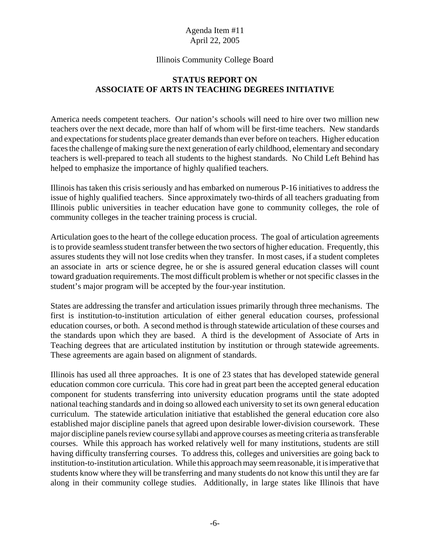#### Illinois Community College Board

## **STATUS REPORT ON ASSOCIATE OF ARTS IN TEACHING DEGREES INITIATIVE**

America needs competent teachers. Our nation's schools will need to hire over two million new teachers over the next decade, more than half of whom will be first-time teachers. New standards and expectations for students place greater demands than ever before on teachers. Higher education faces the challenge of making sure the next generation of early childhood, elementary and secondary teachers is well-prepared to teach all students to the highest standards. No Child Left Behind has helped to emphasize the importance of highly qualified teachers.

Illinois has taken this crisis seriously and has embarked on numerous P-16 initiatives to address the issue of highly qualified teachers. Since approximately two-thirds of all teachers graduating from Illinois public universities in teacher education have gone to community colleges, the role of community colleges in the teacher training process is crucial.

Articulation goes to the heart of the college education process. The goal of articulation agreements is to provide seamless student transfer between the two sectors of higher education. Frequently, this assures students they will not lose credits when they transfer. In most cases, if a student completes an associate in arts or science degree, he or she is assured general education classes will count toward graduation requirements. The most difficult problem is whether or not specific classes in the student's major program will be accepted by the four-year institution.

States are addressing the transfer and articulation issues primarily through three mechanisms. The first is institution-to-institution articulation of either general education courses, professional education courses, or both. A second method is through statewide articulation of these courses and the standards upon which they are based. A third is the development of Associate of Arts in Teaching degrees that are articulated institution by institution or through statewide agreements. These agreements are again based on alignment of standards.

Illinois has used all three approaches. It is one of 23 states that has developed statewide general education common core curricula. This core had in great part been the accepted general education component for students transferring into university education programs until the state adopted national teaching standards and in doing so allowed each university to set its own general education curriculum. The statewide articulation initiative that established the general education core also established major discipline panels that agreed upon desirable lower-division coursework. These major discipline panels review course syllabi and approve courses as meeting criteria as transferable courses. While this approach has worked relatively well for many institutions, students are still having difficulty transferring courses. To address this, colleges and universities are going back to institution-to-institution articulation. While this approach may seem reasonable, it is imperative that students know where they will be transferring and many students do not know this until they are far along in their community college studies. Additionally, in large states like Illinois that have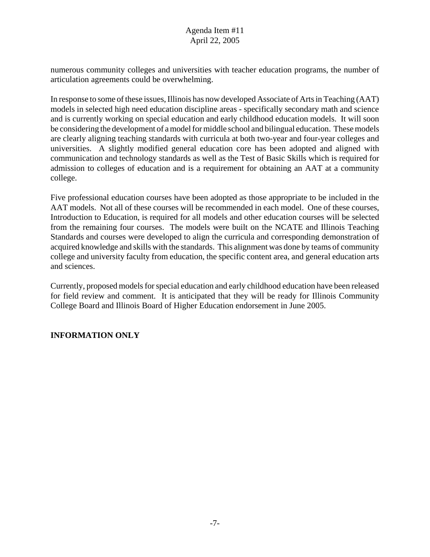numerous community colleges and universities with teacher education programs, the number of articulation agreements could be overwhelming.

In response to some of these issues, Illinois has now developed Associate of Arts in Teaching (AAT) models in selected high need education discipline areas - specifically secondary math and science and is currently working on special education and early childhood education models. It will soon be considering the development of a model for middle school and bilingual education. These models are clearly aligning teaching standards with curricula at both two-year and four-year colleges and universities. A slightly modified general education core has been adopted and aligned with communication and technology standards as well as the Test of Basic Skills which is required for admission to colleges of education and is a requirement for obtaining an AAT at a community college.

Five professional education courses have been adopted as those appropriate to be included in the AAT models. Not all of these courses will be recommended in each model. One of these courses, Introduction to Education, is required for all models and other education courses will be selected from the remaining four courses. The models were built on the NCATE and Illinois Teaching Standards and courses were developed to align the curricula and corresponding demonstration of acquired knowledge and skills with the standards. This alignment was done by teams of community college and university faculty from education, the specific content area, and general education arts and sciences.

Currently, proposed models for special education and early childhood education have been released for field review and comment. It is anticipated that they will be ready for Illinois Community College Board and Illinois Board of Higher Education endorsement in June 2005.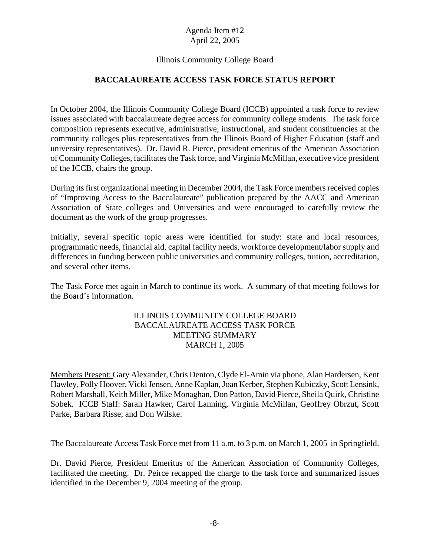## Illinois Community College Board

# **BACCALAUREATE ACCESS TASK FORCE STATUS REPORT**

In October 2004, the Illinois Community College Board (ICCB) appointed a task force to review issues associated with baccalaureate degree access for community college students. The task force composition represents executive, administrative, instructional, and student constituencies at the community colleges plus representatives from the Illinois Board of Higher Education (staff and university representatives). Dr. David R. Pierce, president emeritus of the American Association of Community Colleges, facilitates the Task force, and Virginia McMillan, executive vice president of the ICCB, chairs the group.

During its first organizational meeting in December 2004, the Task Force members received copies of "Improving Access to the Baccalaureate" publication prepared by the AACC and American Association of State colleges and Universities and were encouraged to carefully review the document as the work of the group progresses.

Initially, several specific topic areas were identified for study: state and local resources, programmatic needs, financial aid, capital facility needs, workforce development/labor supply and differences in funding between public universities and community colleges, tuition, accreditation, and several other items.

The Task Force met again in March to continue its work. A summary of that meeting follows for the Board's information.

## ILLINOIS COMMUNITY COLLEGE BOARD BACCALAUREATE ACCESS TASK FORCE MEETING SUMMARY MARCH 1, 2005

Members Present: Gary Alexander, Chris Denton, Clyde El-Amin via phone, Alan Hardersen, Kent Hawley, Polly Hoover, Vicki Jensen, Anne Kaplan, Joan Kerber, Stephen Kubiczky, Scott Lensink, Robert Marshall, Keith Miller, Mike Monaghan, Don Patton, David Pierce, Sheila Quirk, Christine Sobek. ICCB Staff: Sarah Hawker, Carol Lanning, Virginia McMillan, Geoffrey Obrzut, Scott Parke, Barbara Risse, and Don Wilske.

The Baccalaureate Access Task Force met from 11 a.m. to 3 p.m. on March 1, 2005 in Springfield.

Dr. David Pierce, President Emeritus of the American Association of Community Colleges, facilitated the meeting. Dr. Peirce recapped the charge to the task force and summarized issues identified in the December 9, 2004 meeting of the group.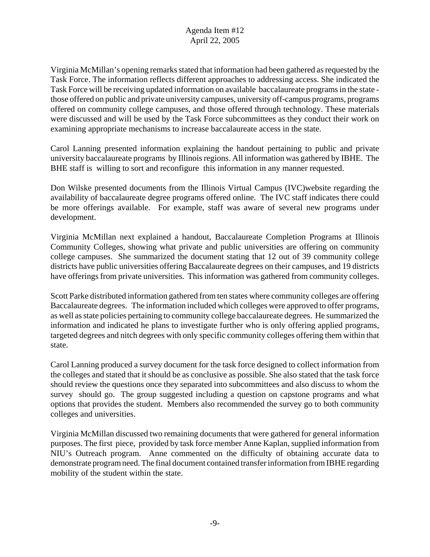Virginia McMillan's opening remarks stated that information had been gathered as requested by the Task Force. The information reflects different approaches to addressing access. She indicated the Task Force will be receiving updated information on available baccalaureate programs in the state those offered on public and private university campuses, university off-campus programs, programs offered on community college campuses, and those offered through technology. These materials were discussed and will be used by the Task Force subcommittees as they conduct their work on examining appropriate mechanisms to increase baccalaureate access in the state.

Carol Lanning presented information explaining the handout pertaining to public and private university baccalaureate programs by Illinois regions. All information was gathered by IBHE. The BHE staff is willing to sort and reconfigure this information in any manner requested.

Don Wilske presented documents from the Illinois Virtual Campus (IVC)website regarding the availability of baccalaureate degree programs offered online. The IVC staff indicates there could be more offerings available. For example, staff was aware of several new programs under development.

Virginia McMillan next explained a handout, Baccalaureate Completion Programs at Illinois Community Colleges, showing what private and public universities are offering on community college campuses. She summarized the document stating that 12 out of 39 community college districts have public universities offering Baccalaureate degrees on their campuses, and 19 districts have offerings from private universities. This information was gathered from community colleges.

Scott Parke distributed information gathered from ten states where community colleges are offering Baccalaureate degrees. The information included which colleges were approved to offer programs, as well as state policies pertaining to community college baccalaureate degrees. He summarized the information and indicated he plans to investigate further who is only offering applied programs, targeted degrees and nitch degrees with only specific community colleges offering them within that state.

Carol Lanning produced a survey document for the task force designed to collect information from the colleges and stated that it should be as conclusive as possible. She also stated that the task force should review the questions once they separated into subcommittees and also discuss to whom the survey should go. The group suggested including a question on capstone programs and what options that provides the student. Members also recommended the survey go to both community colleges and universities.

Virginia McMillan discussed two remaining documents that were gathered for general information purposes. The first piece, provided by task force member Anne Kaplan, supplied information from NIU's Outreach program. Anne commented on the difficulty of obtaining accurate data to demonstrate program need. The final document contained transfer information from IBHE regarding mobility of the student within the state.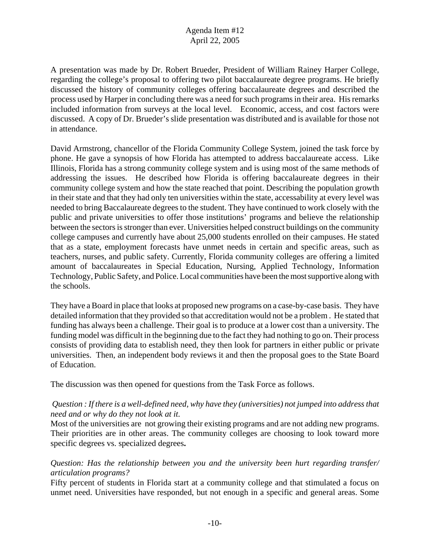A presentation was made by Dr. Robert Brueder, President of William Rainey Harper College, regarding the college's proposal to offering two pilot baccalaureate degree programs. He briefly discussed the history of community colleges offering baccalaureate degrees and described the process used by Harper in concluding there was a need for such programs in their area. His remarks included information from surveys at the local level. Economic, access, and cost factors were discussed. A copy of Dr. Brueder's slide presentation was distributed and is available for those not in attendance.

David Armstrong, chancellor of the Florida Community College System, joined the task force by phone. He gave a synopsis of how Florida has attempted to address baccalaureate access. Like Illinois, Florida has a strong community college system and is using most of the same methods of addressing the issues. He described how Florida is offering baccalaureate degrees in their community college system and how the state reached that point. Describing the population growth in their state and that they had only ten universities within the state, accessability at every level was needed to bring Baccalaureate degrees to the student. They have continued to work closely with the public and private universities to offer those institutions' programs and believe the relationship between the sectors is stronger than ever. Universities helped construct buildings on the community college campuses and currently have about 25,000 students enrolled on their campuses. He stated that as a state, employment forecasts have unmet needs in certain and specific areas, such as teachers, nurses, and public safety. Currently, Florida community colleges are offering a limited amount of baccalaureates in Special Education, Nursing, Applied Technology, Information Technology, Public Safety, and Police. Local communities have been the most supportive along with the schools.

They have a Board in place that looks at proposed new programs on a case-by-case basis. They have detailed information that they provided so that accreditation would not be a problem . He stated that funding has always been a challenge. Their goal is to produce at a lower cost than a university. The funding model was difficult in the beginning due to the fact they had nothing to go on. Their process consists of providing data to establish need, they then look for partners in either public or private universities. Then, an independent body reviews it and then the proposal goes to the State Board of Education.

The discussion was then opened for questions from the Task Force as follows.

# *Question : If there is a well-defined need, why have they (universities) not jumped into address that need and or why do they not look at it.*

Most of the universities are not growing their existing programs and are not adding new programs. Their priorities are in other areas. The community colleges are choosing to look toward more specific degrees vs. specialized degrees**.** 

# *Question: Has the relationship between you and the university been hurt regarding transfer/ articulation programs?*

Fifty percent of students in Florida start at a community college and that stimulated a focus on unmet need. Universities have responded, but not enough in a specific and general areas. Some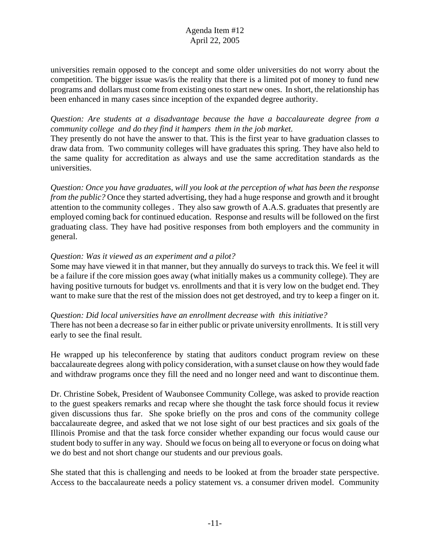universities remain opposed to the concept and some older universities do not worry about the competition. The bigger issue was/is the reality that there is a limited pot of money to fund new programs and dollars must come from existing ones to start new ones. In short, the relationship has been enhanced in many cases since inception of the expanded degree authority.

#### *Question: Are students at a disadvantage because the have a baccalaureate degree from a community college and do they find it hampers them in the job market.*

They presently do not have the answer to that. This is the first year to have graduation classes to draw data from. Two community colleges will have graduates this spring. They have also held to the same quality for accreditation as always and use the same accreditation standards as the universities.

*Question: Once you have graduates, will you look at the perception of what has been the response from the public?* Once they started advertising, they had a huge response and growth and it brought attention to the community colleges . They also saw growth of A.A.S. graduates that presently are employed coming back for continued education. Response and results will be followed on the first graduating class. They have had positive responses from both employers and the community in general.

## *Question: Was it viewed as an experiment and a pilot?*

Some may have viewed it in that manner, but they annually do surveys to track this. We feel it will be a failure if the core mission goes away (what initially makes us a community college). They are having positive turnouts for budget vs. enrollments and that it is very low on the budget end. They want to make sure that the rest of the mission does not get destroyed, and try to keep a finger on it.

*Question: Did local universities have an enrollment decrease with this initiative?* There has not been a decrease so far in either public or private university enrollments. It is still very early to see the final result.

He wrapped up his teleconference by stating that auditors conduct program review on these baccalaureate degrees along with policy consideration, with a sunset clause on how they would fade and withdraw programs once they fill the need and no longer need and want to discontinue them.

Dr. Christine Sobek, President of Waubonsee Community College, was asked to provide reaction to the guest speakers remarks and recap where she thought the task force should focus it review given discussions thus far. She spoke briefly on the pros and cons of the community college baccalaureate degree, and asked that we not lose sight of our best practices and six goals of the Illinois Promise and that the task force consider whether expanding our focus would cause our student body to suffer in any way. Should we focus on being all to everyone or focus on doing what we do best and not short change our students and our previous goals.

She stated that this is challenging and needs to be looked at from the broader state perspective. Access to the baccalaureate needs a policy statement vs. a consumer driven model. Community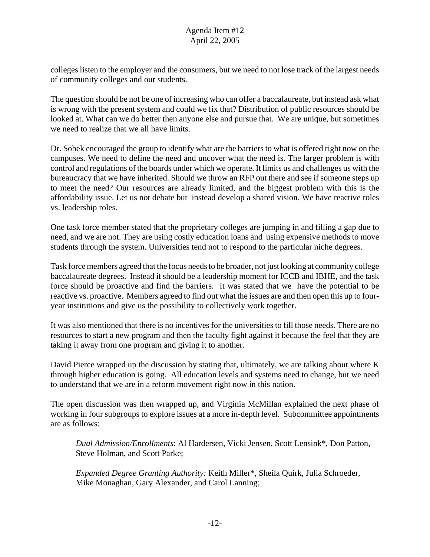colleges listen to the employer and the consumers, but we need to not lose track of the largest needs of community colleges and our students.

The question should be not be one of increasing who can offer a baccalaureate, but instead ask what is wrong with the present system and could we fix that? Distribution of public resources should be looked at. What can we do better then anyone else and pursue that. We are unique, but sometimes we need to realize that we all have limits.

Dr. Sobek encouraged the group to identify what are the barriers to what is offered right now on the campuses. We need to define the need and uncover what the need is. The larger problem is with control and regulations of the boards under which we operate. It limits us and challenges us with the bureaucracy that we have inherited. Should we throw an RFP out there and see if someone steps up to meet the need? Our resources are already limited, and the biggest problem with this is the affordability issue. Let us not debate but instead develop a shared vision. We have reactive roles vs. leadership roles.

One task force member stated that the proprietary colleges are jumping in and filling a gap due to need, and we are not. They are using costly education loans and using expensive methods to move students through the system. Universities tend not to respond to the particular niche degrees.

Task force members agreed that the focus needs to be broader, not just looking at community college baccalaureate degrees. Instead it should be a leadership moment for ICCB and IBHE, and the task force should be proactive and find the barriers. It was stated that we have the potential to be reactive vs. proactive. Members agreed to find out what the issues are and then open this up to fouryear institutions and give us the possibility to collectively work together.

It was also mentioned that there is no incentives for the universities to fill those needs. There are no resources to start a new program and then the faculty fight against it because the feel that they are taking it away from one program and giving it to another.

David Pierce wrapped up the discussion by stating that, ultimately, we are talking about where K through higher education is going. All education levels and systems need to change, but we need to understand that we are in a reform movement right now in this nation.

The open discussion was then wrapped up, and Virginia McMillan explained the next phase of working in four subgroups to explore issues at a more in-depth level. Subcommittee appointments are as follows:

*Dual Admission/Enrollments*: Al Hardersen, Vicki Jensen, Scott Lensink\*, Don Patton, Steve Holman, and Scott Parke;

*Expanded Degree Granting Authority:* Keith Miller\*, Sheila Quirk, Julia Schroeder, Mike Monaghan, Gary Alexander, and Carol Lanning;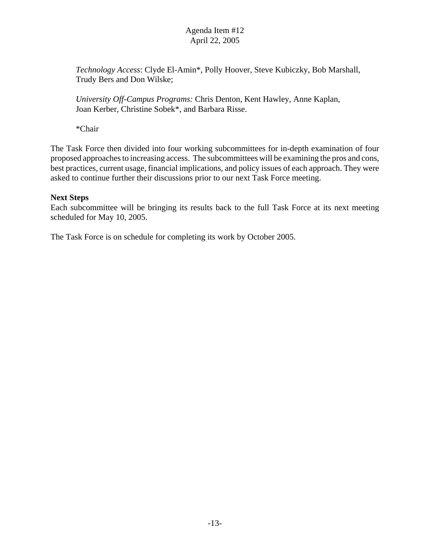*Technology Access*: Clyde El-Amin\*, Polly Hoover, Steve Kubiczky, Bob Marshall, Trudy Bers and Don Wilske;

*University Off-Campus Programs:* Chris Denton, Kent Hawley, Anne Kaplan, Joan Kerber, Christine Sobek\*, and Barbara Risse.

\*Chair

The Task Force then divided into four working subcommittees for in-depth examination of four proposed approaches to increasing access. The subcommittees will be examining the pros and cons, best practices, current usage, financial implications, and policy issues of each approach. They were asked to continue further their discussions prior to our next Task Force meeting.

## **Next Steps**

Each subcommittee will be bringing its results back to the full Task Force at its next meeting scheduled for May 10, 2005.

The Task Force is on schedule for completing its work by October 2005.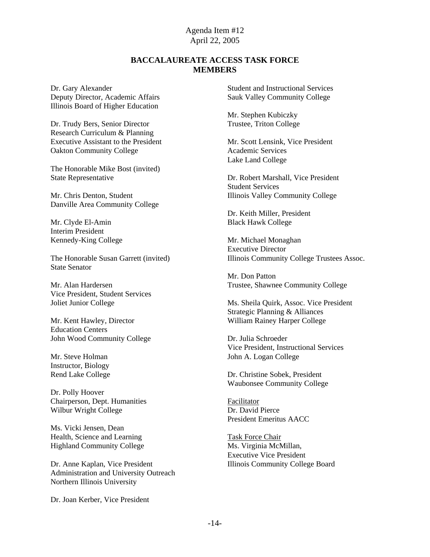#### **BACCALAUREATE ACCESS TASK FORCE MEMBERS**

Dr. Gary Alexander Deputy Director, Academic Affairs Illinois Board of Higher Education

Dr. Trudy Bers, Senior Director Research Curriculum & Planning Executive Assistant to the President Oakton Community College

The Honorable Mike Bost (invited) State Representative

Mr. Chris Denton, Student Danville Area Community College

Mr. Clyde El-Amin Interim President Kennedy-King College

The Honorable Susan Garrett (invited) State Senator

Mr. Alan Hardersen Vice President, Student Services Joliet Junior College

Mr. Kent Hawley, Director Education Centers John Wood Community College

Mr. Steve Holman Instructor, Biology Rend Lake College

Dr. Polly Hoover Chairperson, Dept. Humanities Wilbur Wright College

Ms. Vicki Jensen, Dean Health, Science and Learning Highland Community College

Dr. Anne Kaplan, Vice President Administration and University Outreach Northern Illinois University

Dr. Joan Kerber, Vice President

Student and Instructional Services Sauk Valley Community College

Mr. Stephen Kubiczky Trustee, Triton College

Mr. Scott Lensink, Vice President Academic Services Lake Land College

Dr. Robert Marshall, Vice President Student Services Illinois Valley Community College

Dr. Keith Miller, President Black Hawk College

Mr. Michael Monaghan Executive Director Illinois Community College Trustees Assoc.

Mr. Don Patton Trustee, Shawnee Community College

Ms. Sheila Quirk, Assoc. Vice President Strategic Planning & Alliances William Rainey Harper College

Dr. Julia Schroeder Vice President, Instructional Services John A. Logan College

Dr. Christine Sobek, President Waubonsee Community College

Facilitator Dr. David Pierce President Emeritus AACC

Task Force Chair Ms. Virginia McMillan, Executive Vice President Illinois Community College Board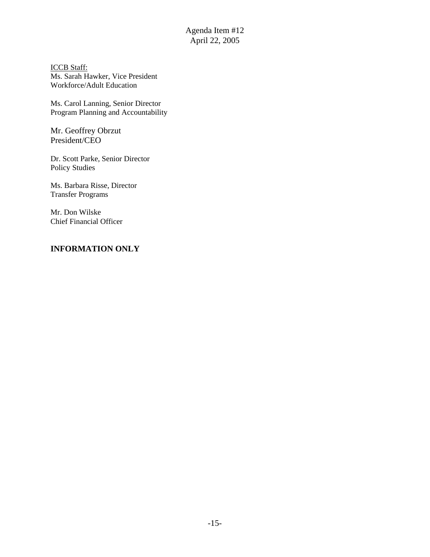ICCB Staff: Ms. Sarah Hawker, Vice President Workforce/Adult Education

Ms. Carol Lanning, Senior Director Program Planning and Accountability

Mr. Geoffrey Obrzut President/CEO

Dr. Scott Parke, Senior Director Policy Studies

Ms. Barbara Risse, Director Transfer Programs

Mr. Don Wilske Chief Financial Officer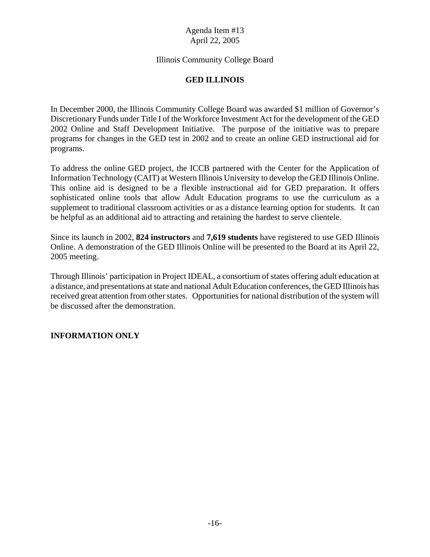## Illinois Community College Board

# **GED ILLINOIS**

In December 2000, the Illinois Community College Board was awarded \$1 million of Governor's Discretionary Funds under Title I of the Workforce Investment Act for the development of the GED 2002 Online and Staff Development Initiative. The purpose of the initiative was to prepare programs for changes in the GED test in 2002 and to create an online GED instructional aid for programs.

To address the online GED project, the ICCB partnered with the Center for the Application of Information Technology (CAIT) at Western Illinois University to develop the GED Illinois Online. This online aid is designed to be a flexible instructional aid for GED preparation. It offers sophisticated online tools that allow Adult Education programs to use the curriculum as a supplement to traditional classroom activities or as a distance learning option for students. It can be helpful as an additional aid to attracting and retaining the hardest to serve clientele.

Since its launch in 2002, **824 instructors** and **7,619 students** have registered to use GED Illinois Online. A demonstration of the GED Illinois Online will be presented to the Board at its April 22, 2005 meeting.

Through Illinois' participation in Project IDEAL, a consortium of states offering adult education at a distance, and presentations at state and national Adult Education conferences, the GED Illinois has received great attention from other states. Opportunities for national distribution of the system will be discussed after the demonstration.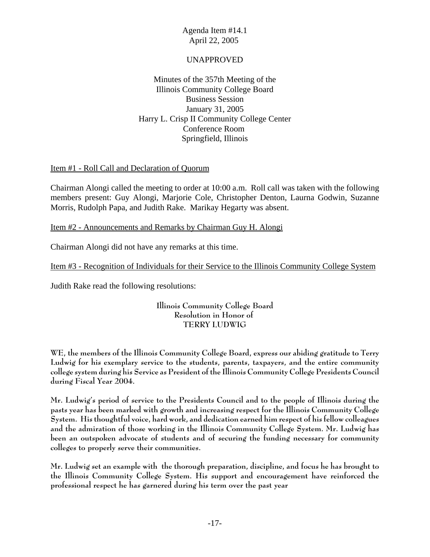## UNAPPROVED

Minutes of the 357th Meeting of the Illinois Community College Board Business Session January 31, 2005 Harry L. Crisp II Community College Center Conference Room Springfield, Illinois

## Item #1 - Roll Call and Declaration of Quorum

Chairman Alongi called the meeting to order at 10:00 a.m. Roll call was taken with the following members present: Guy Alongi, Marjorie Cole, Christopher Denton, Laurna Godwin, Suzanne Morris, Rudolph Papa, and Judith Rake. Marikay Hegarty was absent.

# Item #2 - Announcements and Remarks by Chairman Guy H. Alongi

Chairman Alongi did not have any remarks at this time.

Item #3 - Recognition of Individuals for their Service to the Illinois Community College System

Judith Rake read the following resolutions:

## **Illinois Community College Board Resolution in Honor of TERRY LUDWIG**

**WE, the members of the Illinois Community College Board, express our abiding gratitude to Terry Ludwig for his exemplary service to the students, parents, taxpayers, and the entire community college system during his Service as President of the Illinois Community College Presidents Council during Fiscal Year 2004.** 

**Mr. Ludwig's period of service to the Presidents Council and to the people of Illinois during the pasts year has been marked with growth and increasing respect for the Illinois Community College System. His thoughtful voice, hard work, and dedication earned him respect of his fellow colleagues and the admiration of those working in the Illinois Community College System. Mr. Ludwig has been an outspoken advocate of students and of securing the funding necessary for community colleges to properly serve their communities.**

**Mr. Ludwig set an example with the thorough preparation, discipline, and focus he has brought to the Illinois Community College System. His support and encouragement have reinforced the professional respect he has garnered during his term over the past year**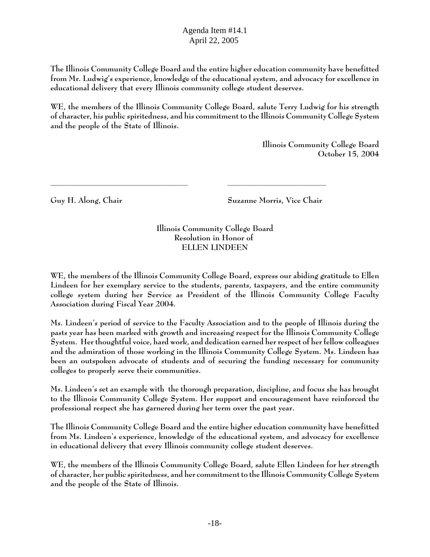**The Illinois Community College Board and the entire higher education community have benefitted from Mr. Ludwig's experience, knowledge of the educational system, and advocacy for excellence in educational delivery that every Illinois community college student deserves.**

**WE, the members of the Illinois Community College Board, salute Terry Ludwig for his strength of character, his public spiritedness, and his commitment to the Illinois Community College System and the people of the State of Illinois.**

> **Illinois Community College Board October 15, 2004**

**Guy H. Along, Chair Suzanne Morris, Vice Chair** 

**Illinois Community College Board Resolution in Honor of ELLEN LINDEEN**

**\_\_\_\_\_\_\_\_\_\_\_\_\_\_\_\_\_\_\_\_\_\_\_\_\_\_\_\_\_\_\_\_ \_\_\_\_\_\_\_\_\_\_\_\_\_\_\_\_\_\_\_\_\_\_\_** 

**WE, the members of the Illinois Community College Board, express our abiding gratitude to Ellen Lindeen for her exemplary service to the students, parents, taxpayers, and the entire community college system during her Service as President of the Illinois Community College Faculty Association during Fiscal Year 2004.** 

**Ms. Lindeen's period of service to the Faculty Association and to the people of Illinois during the pasts year has been marked with growth and increasing respect for the Illinois Community College System. Her thoughtful voice, hard work, and dedication earned her respect of her fellow colleagues and the admiration of those working in the Illinois Community College System. Ms. Lindeen has been an outspoken advocate of students and of securing the funding necessary for community colleges to properly serve their communities.**

**Ms. Lindeen's set an example with the thorough preparation, discipline, and focus she has brought to the Illinois Community College System. Her support and encouragement have reinforced the professional respect she has garnered during her term over the past year.**

**The Illinois Community College Board and the entire higher education community have benefitted from Ms. Lindeen's experience, knowledge of the educational system, and advocacy for excellence in educational delivery that every Illinois community college student deserves.**

**WE, the members of the Illinois Community College Board, salute Ellen Lindeen for her strength of character, her public spiritedness, and her commitment to the Illinois Community College System and the people of the State of Illinois.**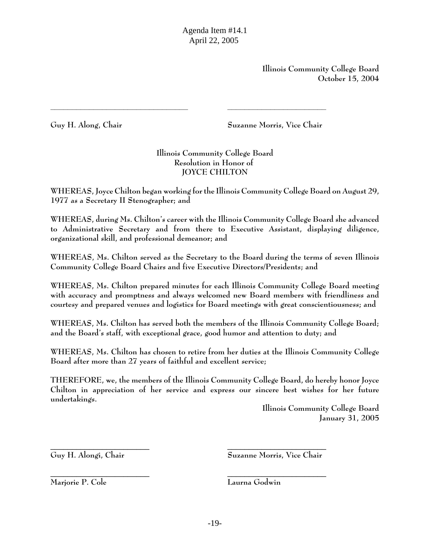**Illinois Community College Board October 15, 2004**

**Guy H. Along, Chair Suzanne Morris, Vice Chair** 

# **Illinois Community College Board Resolution in Honor of JOYCE CHILTON**

**\_\_\_\_\_\_\_\_\_\_\_\_\_\_\_\_\_\_\_\_\_\_\_\_\_\_\_\_\_\_\_\_ \_\_\_\_\_\_\_\_\_\_\_\_\_\_\_\_\_\_\_\_\_\_\_** 

**WHEREAS, Joyce Chilton began working for the Illinois Community College Board on August 29, 1977 as a Secretary II Stenographer; and**

**WHEREAS, during Ms. Chilton's career with the Illinois Community College Board she advanced to Administrative Secretary and from there to Executive Assistant, displaying diligence, organizational skill, and professional demeanor; and** 

**WHEREAS, Ms. Chilton served as the Secretary to the Board during the terms of seven Illinois Community College Board Chairs and five Executive Directors/Presidents; and**

**WHEREAS, Ms. Chilton prepared minutes for each Illinois Community College Board meeting with accuracy and promptness and always welcomed new Board members with friendliness and courtesy and prepared venues and logistics for Board meetings with great conscientiousness; and** 

**WHEREAS, Ms. Chilton has served both the members of the Illinois Community College Board; and the Board's staff, with exceptional grace, good humor and attention to duty; and**

**WHEREAS, Ms. Chilton has chosen to retire from her duties at the Illinois Community College Board after more than 27 years of faithful and excellent service;**

**THEREFORE, we, the members of the Illinois Community College Board, do hereby honor Joyce Chilton in appreciation of her service and express our sincere best wishes for her future undertakings.**

\_\_\_\_\_\_\_\_\_\_\_\_\_\_\_\_\_\_\_\_\_\_\_ \_\_\_\_\_\_\_\_\_\_\_\_\_\_\_\_\_\_\_\_\_\_\_

\_\_\_\_\_\_\_\_\_\_\_\_\_\_\_\_\_\_\_\_\_\_\_ \_\_\_\_\_\_\_\_\_\_\_\_\_\_\_\_\_\_\_\_\_\_\_

**Illinois Community College Board January 31, 2005**

**Guy H. Alongi, Chair Suzanne Morris, Vice Chair**

**Marjorie P. Cole Laurna Godwin**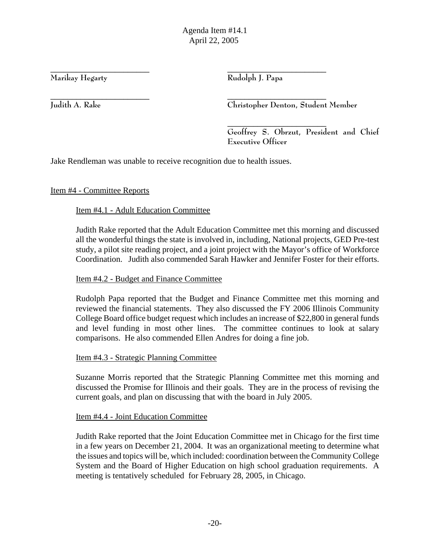**Marikay Hegarty Rudolph J. Papa**

\_\_\_\_\_\_\_\_\_\_\_\_\_\_\_\_\_\_\_\_\_\_\_ \_\_\_\_\_\_\_\_\_\_\_\_\_\_\_\_\_\_\_\_\_\_\_

\_\_\_\_\_\_\_\_\_\_\_\_\_\_\_\_\_\_\_\_\_\_\_ \_\_\_\_\_\_\_\_\_\_\_\_\_\_\_\_\_\_\_\_\_\_\_ **Judith A. Rake Christopher Denton, Student Member**

 $\overline{\phantom{a}}$  , and the contract of the contract of the contract of the contract of the contract of the contract of the contract of the contract of the contract of the contract of the contract of the contract of the contrac **Geoffrey S. Obrzut, President and Chief Executive Officer**

Jake Rendleman was unable to receive recognition due to health issues.

Item #4 - Committee Reports

Item #4.1 - Adult Education Committee

Judith Rake reported that the Adult Education Committee met this morning and discussed all the wonderful things the state is involved in, including, National projects, GED Pre-test study, a pilot site reading project, and a joint project with the Mayor's office of Workforce Coordination. Judith also commended Sarah Hawker and Jennifer Foster for their efforts.

## Item #4.2 - Budget and Finance Committee

Rudolph Papa reported that the Budget and Finance Committee met this morning and reviewed the financial statements. They also discussed the FY 2006 Illinois Community College Board office budget request which includes an increase of \$22,800 in general funds and level funding in most other lines. The committee continues to look at salary comparisons. He also commended Ellen Andres for doing a fine job.

Item #4.3 - Strategic Planning Committee

Suzanne Morris reported that the Strategic Planning Committee met this morning and discussed the Promise for Illinois and their goals. They are in the process of revising the current goals, and plan on discussing that with the board in July 2005.

Item #4.4 - Joint Education Committee

Judith Rake reported that the Joint Education Committee met in Chicago for the first time in a few years on December 21, 2004. It was an organizational meeting to determine what the issues and topics will be, which included: coordination between the Community College System and the Board of Higher Education on high school graduation requirements. A meeting is tentatively scheduled for February 28, 2005, in Chicago.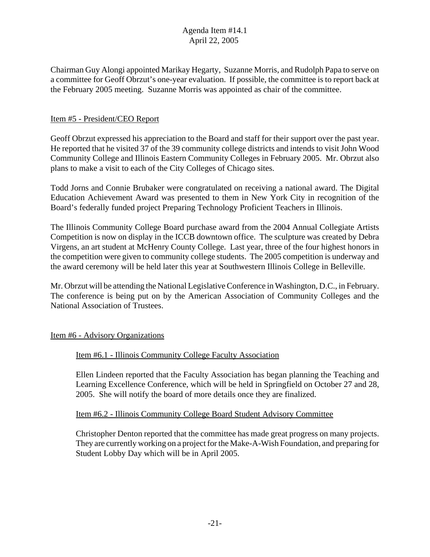Chairman Guy Alongi appointed Marikay Hegarty, Suzanne Morris, and Rudolph Papa to serve on a committee for Geoff Obrzut's one-year evaluation. If possible, the committee is to report back at the February 2005 meeting. Suzanne Morris was appointed as chair of the committee.

## Item #5 - President/CEO Report

Geoff Obrzut expressed his appreciation to the Board and staff for their support over the past year. He reported that he visited 37 of the 39 community college districts and intends to visit John Wood Community College and Illinois Eastern Community Colleges in February 2005. Mr. Obrzut also plans to make a visit to each of the City Colleges of Chicago sites.

Todd Jorns and Connie Brubaker were congratulated on receiving a national award. The Digital Education Achievement Award was presented to them in New York City in recognition of the Board's federally funded project Preparing Technology Proficient Teachers in Illinois.

The Illinois Community College Board purchase award from the 2004 Annual Collegiate Artists Competition is now on display in the ICCB downtown office. The sculpture was created by Debra Virgens, an art student at McHenry County College. Last year, three of the four highest honors in the competition were given to community college students. The 2005 competition is underway and the award ceremony will be held later this year at Southwestern Illinois College in Belleville.

Mr. Obrzut will be attending the National Legislative Conference in Washington, D.C., in February. The conference is being put on by the American Association of Community Colleges and the National Association of Trustees.

## Item #6 - Advisory Organizations

## Item #6.1 - Illinois Community College Faculty Association

Ellen Lindeen reported that the Faculty Association has began planning the Teaching and Learning Excellence Conference, which will be held in Springfield on October 27 and 28, 2005. She will notify the board of more details once they are finalized.

## Item #6.2 - Illinois Community College Board Student Advisory Committee

Christopher Denton reported that the committee has made great progress on many projects. They are currently working on a project for the Make-A-Wish Foundation, and preparing for Student Lobby Day which will be in April 2005.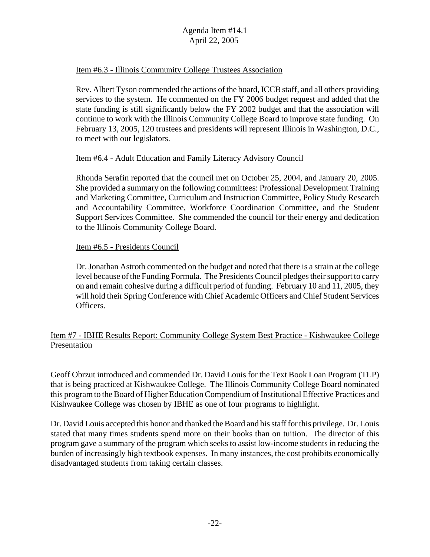#### Item #6.3 - Illinois Community College Trustees Association

Rev. Albert Tyson commended the actions of the board, ICCB staff, and all others providing services to the system. He commented on the FY 2006 budget request and added that the state funding is still significantly below the FY 2002 budget and that the association will continue to work with the Illinois Community College Board to improve state funding. On February 13, 2005, 120 trustees and presidents will represent Illinois in Washington, D.C., to meet with our legislators.

#### Item #6.4 - Adult Education and Family Literacy Advisory Council

Rhonda Serafin reported that the council met on October 25, 2004, and January 20, 2005. She provided a summary on the following committees: Professional Development Training and Marketing Committee, Curriculum and Instruction Committee, Policy Study Research and Accountability Committee, Workforce Coordination Committee, and the Student Support Services Committee. She commended the council for their energy and dedication to the Illinois Community College Board.

#### Item #6.5 - Presidents Council

Dr. Jonathan Astroth commented on the budget and noted that there is a strain at the college level because of the Funding Formula. The Presidents Council pledges their support to carry on and remain cohesive during a difficult period of funding. February 10 and 11, 2005, they will hold their Spring Conference with Chief Academic Officers and Chief Student Services Officers.

## Item #7 - IBHE Results Report: Community College System Best Practice - Kishwaukee College Presentation

Geoff Obrzut introduced and commended Dr. David Louis for the Text Book Loan Program (TLP) that is being practiced at Kishwaukee College. The Illinois Community College Board nominated this program to the Board of Higher Education Compendium of Institutional Effective Practices and Kishwaukee College was chosen by IBHE as one of four programs to highlight.

Dr. David Louis accepted this honor and thanked the Board and his staff for this privilege. Dr. Louis stated that many times students spend more on their books than on tuition. The director of this program gave a summary of the program which seeks to assist low-income students in reducing the burden of increasingly high textbook expenses. In many instances, the cost prohibits economically disadvantaged students from taking certain classes.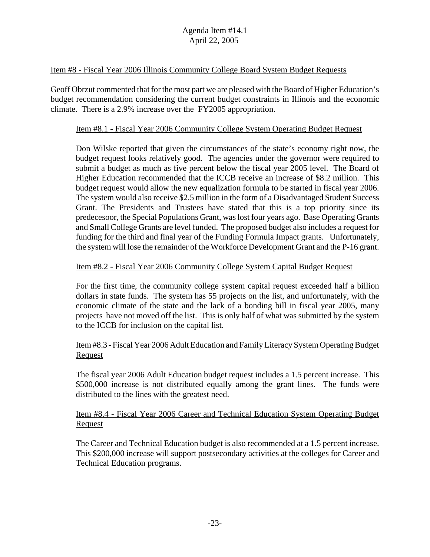#### Item #8 - Fiscal Year 2006 Illinois Community College Board System Budget Requests

Geoff Obrzut commented that for the most part we are pleased with the Board of Higher Education's budget recommendation considering the current budget constraints in Illinois and the economic climate. There is a 2.9% increase over the FY2005 appropriation.

#### Item #8.1 - Fiscal Year 2006 Community College System Operating Budget Request

Don Wilske reported that given the circumstances of the state's economy right now, the budget request looks relatively good. The agencies under the governor were required to submit a budget as much as five percent below the fiscal year 2005 level. The Board of Higher Education recommended that the ICCB receive an increase of \$8.2 million. This budget request would allow the new equalization formula to be started in fiscal year 2006. The system would also receive \$2.5 million in the form of a Disadvantaged Student Success Grant. The Presidents and Trustees have stated that this is a top priority since its predecesoor, the Special Populations Grant, was lost four years ago. Base Operating Grants and Small College Grants are level funded. The proposed budget also includes a request for funding for the third and final year of the Funding Formula Impact grants. Unfortunately, the system will lose the remainder of the Workforce Development Grant and the P-16 grant.

#### Item #8.2 - Fiscal Year 2006 Community College System Capital Budget Request

For the first time, the community college system capital request exceeded half a billion dollars in state funds. The system has 55 projects on the list, and unfortunately, with the economic climate of the state and the lack of a bonding bill in fiscal year 2005, many projects have not moved off the list. This is only half of what was submitted by the system to the ICCB for inclusion on the capital list.

## Item #8.3 - Fiscal Year 2006 Adult Education and Family Literacy System Operating Budget **Request**

The fiscal year 2006 Adult Education budget request includes a 1.5 percent increase. This \$500,000 increase is not distributed equally among the grant lines. The funds were distributed to the lines with the greatest need.

## Item #8.4 - Fiscal Year 2006 Career and Technical Education System Operating Budget **Request**

The Career and Technical Education budget is also recommended at a 1.5 percent increase. This \$200,000 increase will support postsecondary activities at the colleges for Career and Technical Education programs.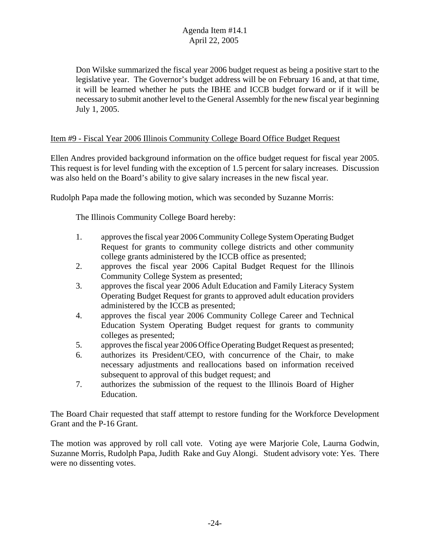Don Wilske summarized the fiscal year 2006 budget request as being a positive start to the legislative year. The Governor's budget address will be on February 16 and, at that time, it will be learned whether he puts the IBHE and ICCB budget forward or if it will be necessary to submit another level to the General Assembly for the new fiscal year beginning July 1, 2005.

#### Item #9 - Fiscal Year 2006 Illinois Community College Board Office Budget Request

Ellen Andres provided background information on the office budget request for fiscal year 2005. This request is for level funding with the exception of 1.5 percent for salary increases. Discussion was also held on the Board's ability to give salary increases in the new fiscal year.

Rudolph Papa made the following motion, which was seconded by Suzanne Morris:

The Illinois Community College Board hereby:

- 1. approves the fiscal year 2006 Community College System Operating Budget Request for grants to community college districts and other community college grants administered by the ICCB office as presented;
- 2. approves the fiscal year 2006 Capital Budget Request for the Illinois Community College System as presented;
- 3. approves the fiscal year 2006 Adult Education and Family Literacy System Operating Budget Request for grants to approved adult education providers administered by the ICCB as presented;
- 4. approves the fiscal year 2006 Community College Career and Technical Education System Operating Budget request for grants to community colleges as presented;
- 5. approves the fiscal year 2006 Office Operating Budget Request as presented;
- 6. authorizes its President/CEO, with concurrence of the Chair, to make necessary adjustments and reallocations based on information received subsequent to approval of this budget request; and
- 7. authorizes the submission of the request to the Illinois Board of Higher Education.

The Board Chair requested that staff attempt to restore funding for the Workforce Development Grant and the P-16 Grant.

The motion was approved by roll call vote. Voting aye were Marjorie Cole, Laurna Godwin, Suzanne Morris, Rudolph Papa, Judith Rake and Guy Alongi. Student advisory vote: Yes. There were no dissenting votes.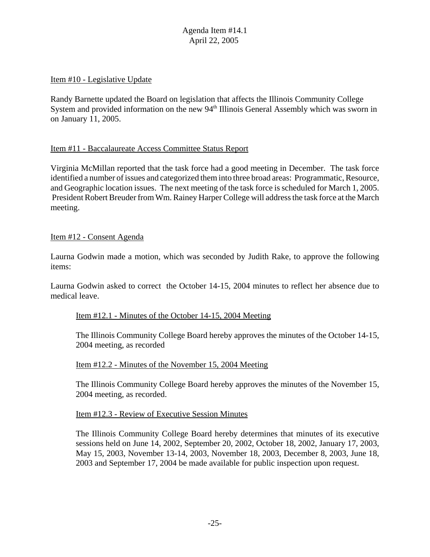#### Item #10 - Legislative Update

Randy Barnette updated the Board on legislation that affects the Illinois Community College System and provided information on the new 94<sup>th</sup> Illinois General Assembly which was sworn in on January 11, 2005.

#### Item #11 - Baccalaureate Access Committee Status Report

Virginia McMillan reported that the task force had a good meeting in December. The task force identified a number of issues and categorized them into three broad areas: Programmatic, Resource, and Geographic location issues. The next meeting of the task force is scheduled for March 1, 2005. President Robert Breuder from Wm. Rainey Harper College will address the task force at the March meeting.

#### Item #12 - Consent Agenda

Laurna Godwin made a motion, which was seconded by Judith Rake, to approve the following items:

Laurna Godwin asked to correct the October 14-15, 2004 minutes to reflect her absence due to medical leave.

#### Item #12.1 - Minutes of the October 14-15, 2004 Meeting

The Illinois Community College Board hereby approves the minutes of the October 14-15, 2004 meeting, as recorded

#### Item #12.2 - Minutes of the November 15, 2004 Meeting

The Illinois Community College Board hereby approves the minutes of the November 15, 2004 meeting, as recorded.

#### Item #12.3 - Review of Executive Session Minutes

The Illinois Community College Board hereby determines that minutes of its executive sessions held on June 14, 2002, September 20, 2002, October 18, 2002, January 17, 2003, May 15, 2003, November 13-14, 2003, November 18, 2003, December 8, 2003, June 18, 2003 and September 17, 2004 be made available for public inspection upon request.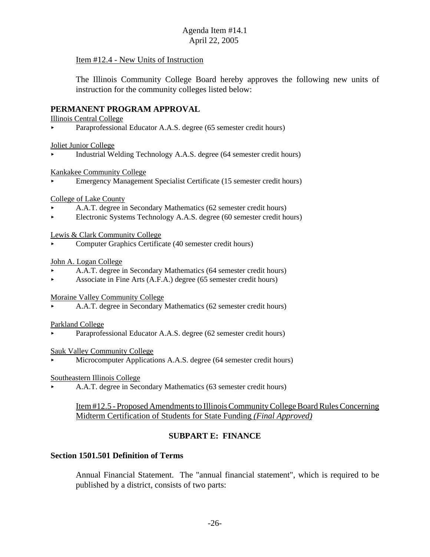#### Item #12.4 - New Units of Instruction

The Illinois Community College Board hereby approves the following new units of instruction for the community colleges listed below:

#### **PERMANENT PROGRAM APPROVAL**

Illinois Central College

Paraprofessional Educator A.A.S. degree (65 semester credit hours)

Joliet Junior College

< Industrial Welding Technology A.A.S. degree (64 semester credit hours)

Kankakee Community College

< Emergency Management Specialist Certificate (15 semester credit hours)

College of Lake County

- < A.A.T. degree in Secondary Mathematics (62 semester credit hours)
- < Electronic Systems Technology A.A.S. degree (60 semester credit hours)

Lewis & Clark Community College

< Computer Graphics Certificate (40 semester credit hours)

#### John A. Logan College

- < A.A.T. degree in Secondary Mathematics (64 semester credit hours)
- Associate in Fine Arts  $(A.F.A.)$  degree (65 semester credit hours)

Moraine Valley Community College

< A.A.T. degree in Secondary Mathematics (62 semester credit hours)

Parkland College

Paraprofessional Educator A.A.S. degree (62 semester credit hours)

Sauk Valley Community College

Microcomputer Applications A.A.S. degree (64 semester credit hours)

#### Southeastern Illinois College

< A.A.T. degree in Secondary Mathematics (63 semester credit hours)

Item #12.5 - Proposed Amendments to Illinois Community College Board Rules Concerning Midterm Certification of Students for State Funding *(Final Approved)*

## **SUBPART E: FINANCE**

#### **Section 1501.501 Definition of Terms**

Annual Financial Statement. The "annual financial statement", which is required to be published by a district, consists of two parts: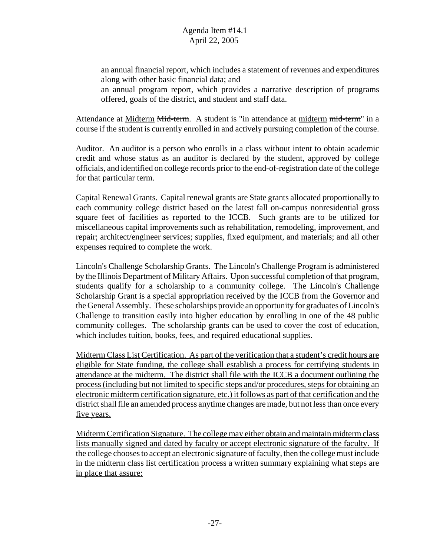an annual financial report, which includes a statement of revenues and expenditures along with other basic financial data; and an annual program report, which provides a narrative description of programs

offered, goals of the district, and student and staff data.

Attendance at Midterm Mid-term. A student is "in attendance at midterm mid-term" in a course if the student is currently enrolled in and actively pursuing completion of the course.

Auditor. An auditor is a person who enrolls in a class without intent to obtain academic credit and whose status as an auditor is declared by the student, approved by college officials, and identified on college records prior to the end-of-registration date of the college for that particular term.

Capital Renewal Grants. Capital renewal grants are State grants allocated proportionally to each community college district based on the latest fall on-campus nonresidential gross square feet of facilities as reported to the ICCB. Such grants are to be utilized for miscellaneous capital improvements such as rehabilitation, remodeling, improvement, and repair; architect/engineer services; supplies, fixed equipment, and materials; and all other expenses required to complete the work.

Lincoln's Challenge Scholarship Grants. The Lincoln's Challenge Program is administered by the Illinois Department of Military Affairs. Upon successful completion of that program, students qualify for a scholarship to a community college. The Lincoln's Challenge Scholarship Grant is a special appropriation received by the ICCB from the Governor and the General Assembly. These scholarships provide an opportunity for graduates of Lincoln's Challenge to transition easily into higher education by enrolling in one of the 48 public community colleges. The scholarship grants can be used to cover the cost of education, which includes tuition, books, fees, and required educational supplies.

Midterm Class List Certification. As part of the verification that a student's credit hours are eligible for State funding, the college shall establish a process for certifying students in attendance at the midterm. The district shall file with the ICCB a document outlining the process (including but not limited to specific steps and/or procedures, steps for obtaining an electronic midterm certification signature, etc.) it follows as part of that certification and the district shall file an amended process anytime changes are made, but not less than once every five years.

Midterm Certification Signature. The college may either obtain and maintain midterm class lists manually signed and dated by faculty or accept electronic signature of the faculty. If the college chooses to accept an electronic signature of faculty, then the college must include in the midterm class list certification process a written summary explaining what steps are in place that assure: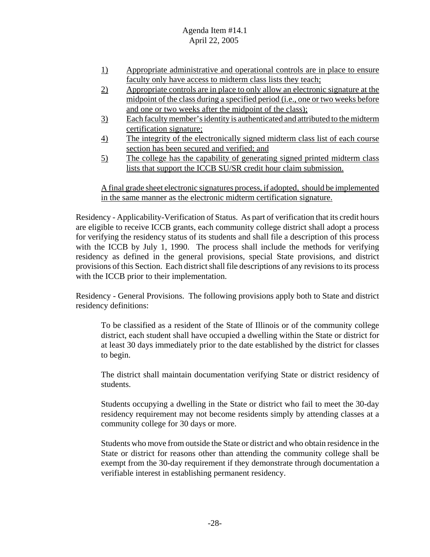- 1) Appropriate administrative and operational controls are in place to ensure faculty only have access to midterm class lists they teach;
- 2) Appropriate controls are in place to only allow an electronic signature at the midpoint of the class during a specified period (i.e., one or two weeks before and one or two weeks after the midpoint of the class);
- 3) Each faculty member's identity is authenticated and attributed to the midterm certification signature;
- 4) The integrity of the electronically signed midterm class list of each course section has been secured and verified; and
- 5) The college has the capability of generating signed printed midterm class lists that support the ICCB SU/SR credit hour claim submission.

A final grade sheet electronic signatures process, if adopted, should be implemented in the same manner as the electronic midterm certification signature.

Residency - Applicability-Verification of Status. As part of verification that its credit hours are eligible to receive ICCB grants, each community college district shall adopt a process for verifying the residency status of its students and shall file a description of this process with the ICCB by July 1, 1990. The process shall include the methods for verifying residency as defined in the general provisions, special State provisions, and district provisions of this Section. Each district shall file descriptions of any revisions to its process with the ICCB prior to their implementation.

Residency - General Provisions. The following provisions apply both to State and district residency definitions:

To be classified as a resident of the State of Illinois or of the community college district, each student shall have occupied a dwelling within the State or district for at least 30 days immediately prior to the date established by the district for classes to begin.

The district shall maintain documentation verifying State or district residency of students.

Students occupying a dwelling in the State or district who fail to meet the 30-day residency requirement may not become residents simply by attending classes at a community college for 30 days or more.

Students who move from outside the State or district and who obtain residence in the State or district for reasons other than attending the community college shall be exempt from the 30-day requirement if they demonstrate through documentation a verifiable interest in establishing permanent residency.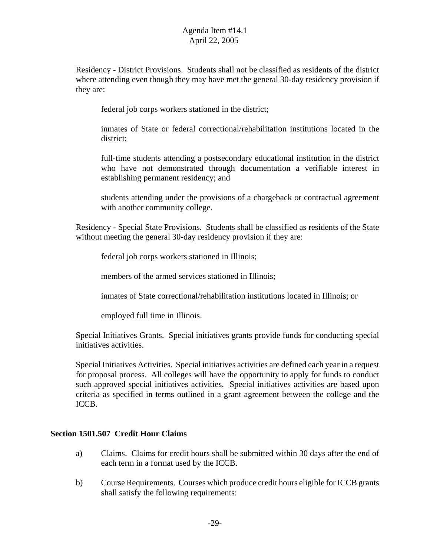Residency - District Provisions. Students shall not be classified as residents of the district where attending even though they may have met the general 30-day residency provision if they are:

federal job corps workers stationed in the district;

inmates of State or federal correctional/rehabilitation institutions located in the district;

full-time students attending a postsecondary educational institution in the district who have not demonstrated through documentation a verifiable interest in establishing permanent residency; and

students attending under the provisions of a chargeback or contractual agreement with another community college.

Residency - Special State Provisions. Students shall be classified as residents of the State without meeting the general 30-day residency provision if they are:

federal job corps workers stationed in Illinois;

members of the armed services stationed in Illinois:

inmates of State correctional/rehabilitation institutions located in Illinois; or

employed full time in Illinois.

Special Initiatives Grants. Special initiatives grants provide funds for conducting special initiatives activities.

Special Initiatives Activities. Special initiatives activities are defined each year in a request for proposal process. All colleges will have the opportunity to apply for funds to conduct such approved special initiatives activities. Special initiatives activities are based upon criteria as specified in terms outlined in a grant agreement between the college and the ICCB.

#### **Section 1501.507 Credit Hour Claims**

- a) Claims. Claims for credit hours shall be submitted within 30 days after the end of each term in a format used by the ICCB.
- b) Course Requirements. Courses which produce credit hours eligible for ICCB grants shall satisfy the following requirements: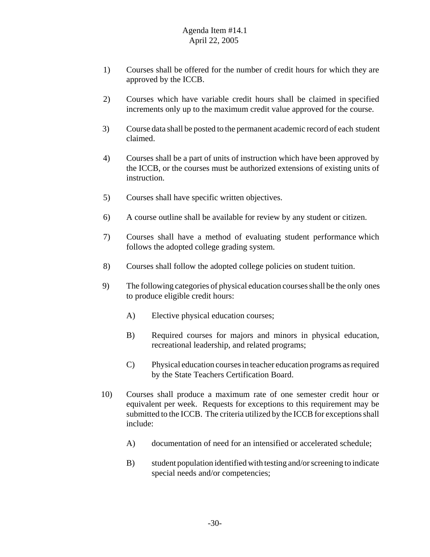- 1) Courses shall be offered for the number of credit hours for which they are approved by the ICCB.
- 2) Courses which have variable credit hours shall be claimed in specified increments only up to the maximum credit value approved for the course.
- 3) Course data shall be posted to the permanent academic record of each student claimed.
- 4) Courses shall be a part of units of instruction which have been approved by the ICCB, or the courses must be authorized extensions of existing units of instruction.
- 5) Courses shall have specific written objectives.
- 6) A course outline shall be available for review by any student or citizen.
- 7) Courses shall have a method of evaluating student performance which follows the adopted college grading system.
- 8) Courses shall follow the adopted college policies on student tuition.
- 9) The following categories of physical education courses shall be the only ones to produce eligible credit hours:
	- A) Elective physical education courses;
	- B) Required courses for majors and minors in physical education, recreational leadership, and related programs;
	- C) Physical education courses in teacher education programs as required by the State Teachers Certification Board.
- 10) Courses shall produce a maximum rate of one semester credit hour or equivalent per week. Requests for exceptions to this requirement may be submitted to the ICCB. The criteria utilized by the ICCB for exceptions shall include:
	- A) documentation of need for an intensified or accelerated schedule;
	- B) student population identified with testing and/or screening to indicate special needs and/or competencies;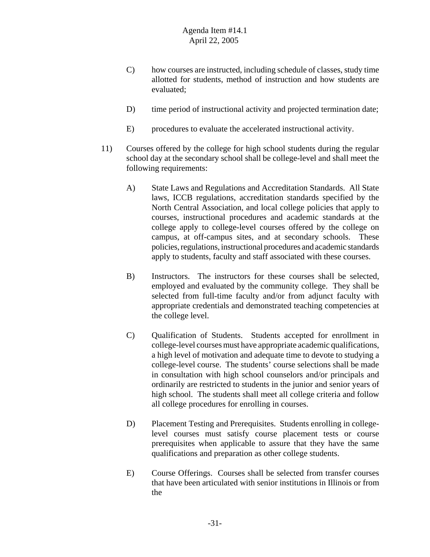- C) how courses are instructed, including schedule of classes, study time allotted for students, method of instruction and how students are evaluated;
- D) time period of instructional activity and projected termination date;
- E) procedures to evaluate the accelerated instructional activity.
- 11) Courses offered by the college for high school students during the regular school day at the secondary school shall be college-level and shall meet the following requirements:
	- A) State Laws and Regulations and Accreditation Standards. All State laws, ICCB regulations, accreditation standards specified by the North Central Association, and local college policies that apply to courses, instructional procedures and academic standards at the college apply to college-level courses offered by the college on campus, at off-campus sites, and at secondary schools. These policies, regulations, instructional procedures and academic standards apply to students, faculty and staff associated with these courses.
	- B) Instructors. The instructors for these courses shall be selected, employed and evaluated by the community college. They shall be selected from full-time faculty and/or from adjunct faculty with appropriate credentials and demonstrated teaching competencies at the college level.
	- C) Qualification of Students. Students accepted for enrollment in college-level courses must have appropriate academic qualifications, a high level of motivation and adequate time to devote to studying a college-level course. The students' course selections shall be made in consultation with high school counselors and/or principals and ordinarily are restricted to students in the junior and senior years of high school. The students shall meet all college criteria and follow all college procedures for enrolling in courses.
	- D) Placement Testing and Prerequisites. Students enrolling in collegelevel courses must satisfy course placement tests or course prerequisites when applicable to assure that they have the same qualifications and preparation as other college students.
	- E) Course Offerings. Courses shall be selected from transfer courses that have been articulated with senior institutions in Illinois or from the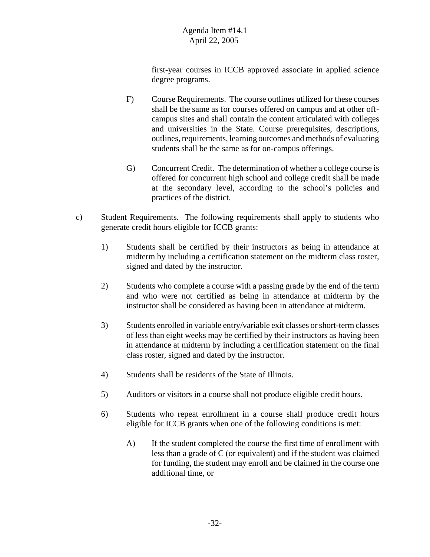first-year courses in ICCB approved associate in applied science degree programs.

- F) Course Requirements. The course outlines utilized for these courses shall be the same as for courses offered on campus and at other offcampus sites and shall contain the content articulated with colleges and universities in the State. Course prerequisites, descriptions, outlines, requirements, learning outcomes and methods of evaluating students shall be the same as for on-campus offerings.
- G) Concurrent Credit. The determination of whether a college course is offered for concurrent high school and college credit shall be made at the secondary level, according to the school's policies and practices of the district.
- c) Student Requirements. The following requirements shall apply to students who generate credit hours eligible for ICCB grants:
	- 1) Students shall be certified by their instructors as being in attendance at midterm by including a certification statement on the midterm class roster, signed and dated by the instructor.
	- 2) Students who complete a course with a passing grade by the end of the term and who were not certified as being in attendance at midterm by the instructor shall be considered as having been in attendance at midterm.
	- 3) Students enrolled in variable entry/variable exit classes or short-term classes of less than eight weeks may be certified by their instructors as having been in attendance at midterm by including a certification statement on the final class roster, signed and dated by the instructor.
	- 4) Students shall be residents of the State of Illinois.
	- 5) Auditors or visitors in a course shall not produce eligible credit hours.
	- 6) Students who repeat enrollment in a course shall produce credit hours eligible for ICCB grants when one of the following conditions is met:
		- A) If the student completed the course the first time of enrollment with less than a grade of C (or equivalent) and if the student was claimed for funding, the student may enroll and be claimed in the course one additional time, or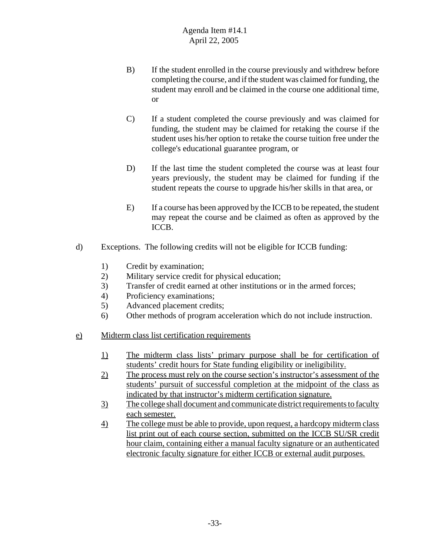- B) If the student enrolled in the course previously and withdrew before completing the course, and if the student was claimed for funding, the student may enroll and be claimed in the course one additional time, or
- C) If a student completed the course previously and was claimed for funding, the student may be claimed for retaking the course if the student uses his/her option to retake the course tuition free under the college's educational guarantee program, or
- D) If the last time the student completed the course was at least four years previously, the student may be claimed for funding if the student repeats the course to upgrade his/her skills in that area, or
- E) If a course has been approved by the ICCB to be repeated, the student may repeat the course and be claimed as often as approved by the ICCB.
- d) Exceptions. The following credits will not be eligible for ICCB funding:
	- 1) Credit by examination;
	- 2) Military service credit for physical education;
	- 3) Transfer of credit earned at other institutions or in the armed forces;
	- 4) Proficiency examinations;
	- 5) Advanced placement credits;
	- 6) Other methods of program acceleration which do not include instruction.
- e) Midterm class list certification requirements
	- 1) The midterm class lists' primary purpose shall be for certification of students' credit hours for State funding eligibility or ineligibility.
	- 2) The process must rely on the course section's instructor's assessment of the students' pursuit of successful completion at the midpoint of the class as indicated by that instructor's midterm certification signature.
	- 3) The college shall document and communicate district requirements to faculty each semester.
	- 4) The college must be able to provide, upon request, a hardcopy midterm class list print out of each course section, submitted on the ICCB SU/SR credit hour claim, containing either a manual faculty signature or an authenticated electronic faculty signature for either ICCB or external audit purposes.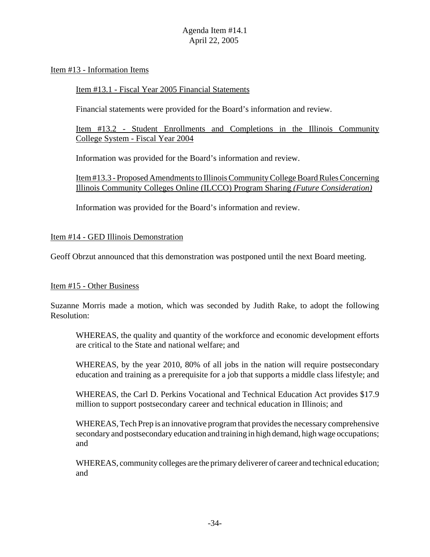#### Item #13 - Information Items

#### Item #13.1 - Fiscal Year 2005 Financial Statements

Financial statements were provided for the Board's information and review.

Item #13.2 - Student Enrollments and Completions in the Illinois Community College System - Fiscal Year 2004

Information was provided for the Board's information and review.

Item #13.3 - Proposed Amendments to Illinois Community College Board Rules Concerning Illinois Community Colleges Online (ILCCO) Program Sharing *(Future Consideration)*

Information was provided for the Board's information and review.

#### Item #14 - GED Illinois Demonstration

Geoff Obrzut announced that this demonstration was postponed until the next Board meeting.

#### Item #15 - Other Business

Suzanne Morris made a motion, which was seconded by Judith Rake, to adopt the following Resolution:

WHEREAS, the quality and quantity of the workforce and economic development efforts are critical to the State and national welfare; and

WHEREAS, by the year 2010, 80% of all jobs in the nation will require postsecondary education and training as a prerequisite for a job that supports a middle class lifestyle; and

WHEREAS, the Carl D. Perkins Vocational and Technical Education Act provides \$17.9 million to support postsecondary career and technical education in Illinois; and

WHEREAS, Tech Prep is an innovative program that provides the necessary comprehensive secondary and postsecondary education and training in high demand, high wage occupations; and

WHEREAS, community colleges are the primary deliverer of career and technical education; and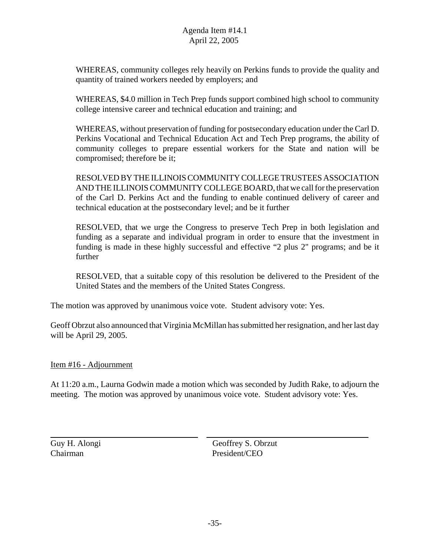WHEREAS, community colleges rely heavily on Perkins funds to provide the quality and quantity of trained workers needed by employers; and

WHEREAS, \$4.0 million in Tech Prep funds support combined high school to community college intensive career and technical education and training; and

WHEREAS, without preservation of funding for postsecondary education under the Carl D. Perkins Vocational and Technical Education Act and Tech Prep programs, the ability of community colleges to prepare essential workers for the State and nation will be compromised; therefore be it;

RESOLVED BY THE ILLINOIS COMMUNITY COLLEGE TRUSTEES ASSOCIATION AND THE ILLINOIS COMMUNITY COLLEGE BOARD, that we call for the preservation of the Carl D. Perkins Act and the funding to enable continued delivery of career and technical education at the postsecondary level; and be it further

RESOLVED, that we urge the Congress to preserve Tech Prep in both legislation and funding as a separate and individual program in order to ensure that the investment in funding is made in these highly successful and effective "2 plus 2" programs; and be it further

RESOLVED, that a suitable copy of this resolution be delivered to the President of the United States and the members of the United States Congress.

The motion was approved by unanimous voice vote. Student advisory vote: Yes.

Geoff Obrzut also announced that Virginia McMillan has submitted her resignation, and her last day will be April 29, 2005.

#### Item #16 - Adjournment

At 11:20 a.m., Laurna Godwin made a motion which was seconded by Judith Rake, to adjourn the meeting. The motion was approved by unanimous voice vote. Student advisory vote: Yes.

 $\overline{a}$ 

Guy H. Alongi Geoffrey S. Obrzut Chairman President/CEO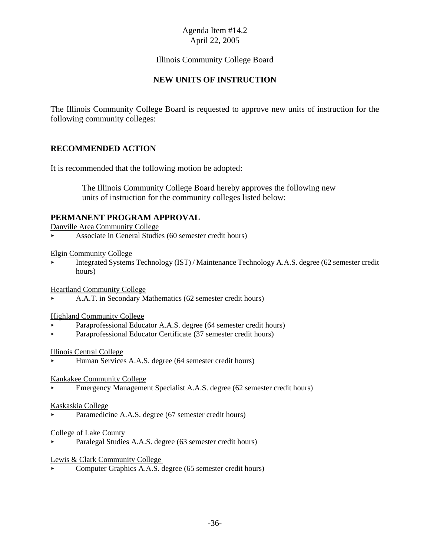# Illinois Community College Board

# **NEW UNITS OF INSTRUCTION**

The Illinois Community College Board is requested to approve new units of instruction for the following community colleges:

## **RECOMMENDED ACTION**

It is recommended that the following motion be adopted:

 The Illinois Community College Board hereby approves the following new units of instruction for the community colleges listed below:

#### **PERMANENT PROGRAM APPROVAL**

Danville Area Community College

< Associate in General Studies (60 semester credit hours)

#### Elgin Community College

< Integrated Systems Technology (IST) / Maintenance Technology A.A.S. degree (62 semester credit hours)

Heartland Community College

< A.A.T. in Secondary Mathematics (62 semester credit hours)

#### Highland Community College

- Paraprofessional Educator A.A.S. degree (64 semester credit hours)
- < Paraprofessional Educator Certificate (37 semester credit hours)

#### Illinois Central College

< Human Services A.A.S. degree (64 semester credit hours)

#### Kankakee Community College

< Emergency Management Specialist A.A.S. degree (62 semester credit hours)

#### Kaskaskia College

Paramedicine A.A.S. degree (67 semester credit hours)

#### College of Lake County

< Paralegal Studies A.A.S. degree (63 semester credit hours)

#### Lewis & Clark Community College

< Computer Graphics A.A.S. degree (65 semester credit hours)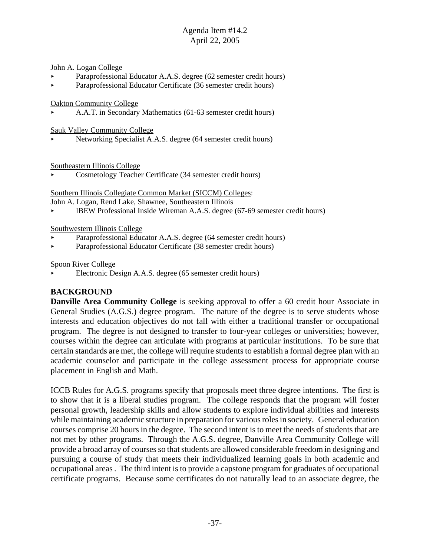#### John A. Logan College

- Paraprofessional Educator A.A.S. degree (62 semester credit hours)
- < Paraprofessional Educator Certificate (36 semester credit hours)

Oakton Community College

< A.A.T. in Secondary Mathematics (61-63 semester credit hours)

Sauk Valley Community College

< Networking Specialist A.A.S. degree (64 semester credit hours)

Southeastern Illinois College

< Cosmetology Teacher Certificate (34 semester credit hours)

Southern Illinois Collegiate Common Market (SICCM) Colleges:

John A. Logan, Rend Lake, Shawnee, Southeastern Illinois

< IBEW Professional Inside Wireman A.A.S. degree (67-69 semester credit hours)

#### Southwestern Illinois College

- Paraprofessional Educator A.A.S. degree (64 semester credit hours)
- < Paraprofessional Educator Certificate (38 semester credit hours)

#### Spoon River College

< Electronic Design A.A.S. degree (65 semester credit hours)

## **BACKGROUND**

**Danville Area Community College** is seeking approval to offer a 60 credit hour Associate in General Studies (A.G.S.) degree program. The nature of the degree is to serve students whose interests and education objectives do not fall with either a traditional transfer or occupational program. The degree is not designed to transfer to four-year colleges or universities; however, courses within the degree can articulate with programs at particular institutions. To be sure that certain standards are met, the college will require students to establish a formal degree plan with an academic counselor and participate in the college assessment process for appropriate course placement in English and Math.

ICCB Rules for A.G.S. programs specify that proposals meet three degree intentions. The first is to show that it is a liberal studies program. The college responds that the program will foster personal growth, leadership skills and allow students to explore individual abilities and interests while maintaining academic structure in preparation for various roles in society. General education courses comprise 20 hours in the degree. The second intent is to meet the needs of students that are not met by other programs. Through the A.G.S. degree, Danville Area Community College will provide a broad array of courses so that students are allowed considerable freedom in designing and pursuing a course of study that meets their individualized learning goals in both academic and occupational areas . The third intent is to provide a capstone program for graduates of occupational certificate programs. Because some certificates do not naturally lead to an associate degree, the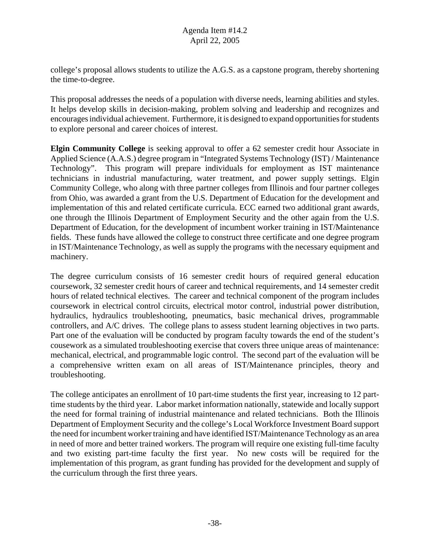college's proposal allows students to utilize the A.G.S. as a capstone program, thereby shortening the time-to-degree.

This proposal addresses the needs of a population with diverse needs, learning abilities and styles. It helps develop skills in decision-making, problem solving and leadership and recognizes and encourages individual achievement. Furthermore, it is designed to expand opportunities for students to explore personal and career choices of interest.

**Elgin Community College** is seeking approval to offer a 62 semester credit hour Associate in Applied Science (A.A.S.) degree program in "Integrated Systems Technology (IST) / Maintenance Technology". This program will prepare individuals for employment as IST maintenance technicians in industrial manufacturing, water treatment, and power supply settings. Elgin Community College, who along with three partner colleges from Illinois and four partner colleges from Ohio, was awarded a grant from the U.S. Department of Education for the development and implementation of this and related certificate curricula. ECC earned two additional grant awards, one through the Illinois Department of Employment Security and the other again from the U.S. Department of Education, for the development of incumbent worker training in IST/Maintenance fields. These funds have allowed the college to construct three certificate and one degree program in IST/Maintenance Technology, as well as supply the programs with the necessary equipment and machinery.

The degree curriculum consists of 16 semester credit hours of required general education coursework, 32 semester credit hours of career and technical requirements, and 14 semester credit hours of related technical electives. The career and technical component of the program includes coursework in electrical control circuits, electrical motor control, industrial power distribution, hydraulics, hydraulics troubleshooting, pneumatics, basic mechanical drives, programmable controllers, and A/C drives. The college plans to assess student learning objectives in two parts. Part one of the evaluation will be conducted by program faculty towards the end of the student's cousework as a simulated troubleshooting exercise that covers three unique areas of maintenance: mechanical, electrical, and programmable logic control. The second part of the evaluation will be a comprehensive written exam on all areas of IST/Maintenance principles, theory and troubleshooting.

The college anticipates an enrollment of 10 part-time students the first year, increasing to 12 parttime students by the third year. Labor market information nationally, statewide and locally support the need for formal training of industrial maintenance and related technicians. Both the Illinois Department of Employment Security and the college's Local Workforce Investment Board support the need for incumbent worker training and have identified IST/Maintenance Technology as an area in need of more and better trained workers. The program will require one existing full-time faculty and two existing part-time faculty the first year. No new costs will be required for the implementation of this program, as grant funding has provided for the development and supply of the curriculum through the first three years.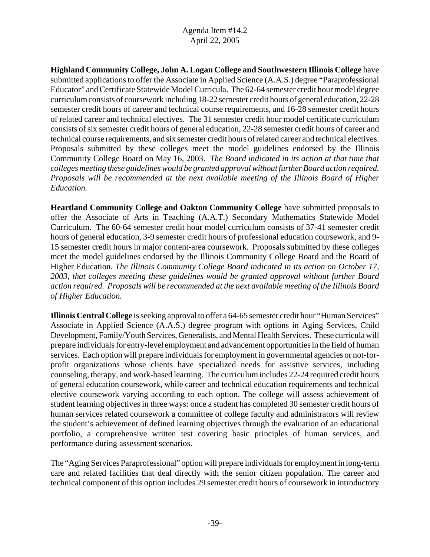**Highland Community College, John A. Logan College and Southwestern Illinois College** have submitted applications to offer the Associate in Applied Science (A.A.S.) degree "Paraprofessional Educator" and Certificate Statewide Model Curricula. The 62-64 semester credit hour model degree curriculum consists of coursework including 18-22 semester credit hours of general education, 22-28 semester credit hours of career and technical course requirements, and 16-28 semester credit hours of related career and technical electives. The 31 semester credit hour model certificate curriculum consists of six semester credit hours of general education, 22-28 semester credit hours of career and technical course requirements, and six semester credit hours of related career and technical electives. Proposals submitted by these colleges meet the model guidelines endorsed by the Illinois Community College Board on May 16, 2003. *The Board indicated in its action at that time that colleges meeting these guidelines would be granted approval without further Board action required. Proposals will be recommended at the next available meeting of the Illinois Board of Higher Education.* 

**Heartland Community College and Oakton Community College** have submitted proposals to offer the Associate of Arts in Teaching (A.A.T.) Secondary Mathematics Statewide Model Curriculum. The 60-64 semester credit hour model curriculum consists of 37-41 semester credit hours of general education, 3-9 semester credit hours of professional education coursework, and 9- 15 semester credit hours in major content-area coursework. Proposals submitted by these colleges meet the model guidelines endorsed by the Illinois Community College Board and the Board of Higher Education. *The Illinois Community College Board indicated in its action on October 17, 2003, that colleges meeting these guidelines would be granted approval without further Board action required. Proposals will be recommended at the next available meeting of the Illinois Board of Higher Education.*

**Illinois Central College** is seeking approval to offer a 64-65 semester credit hour "Human Services" Associate in Applied Science (A.A.S.) degree program with options in Aging Services, Child Development, Family/Youth Services, Generalists, and Mental Health Services. These curricula will prepare individuals for entry-level employment and advancement opportunities in the field of human services. Each option will prepare individuals for employment in governmental agencies or not-forprofit organizations whose clients have specialized needs for assistive services, including counseling, therapy, and work-based learning. The curriculum includes 22-24 required credit hours of general education coursework, while career and technical education requirements and technical elective coursework varying according to each option. The college will assess achievement of student learning objectives in three ways: once a student has completed 30 semester credit hours of human services related coursework a committee of college faculty and administrators will review the student's achievement of defined learning objectives through the evaluation of an educational portfolio, a comprehensive written test covering basic principles of human services, and performance during assessment scenarios.

The "Aging Services Paraprofessional" option will prepare individuals for employment in long-term care and related facilities that deal directly with the senior citizen population. The career and technical component of this option includes 29 semester credit hours of coursework in introductory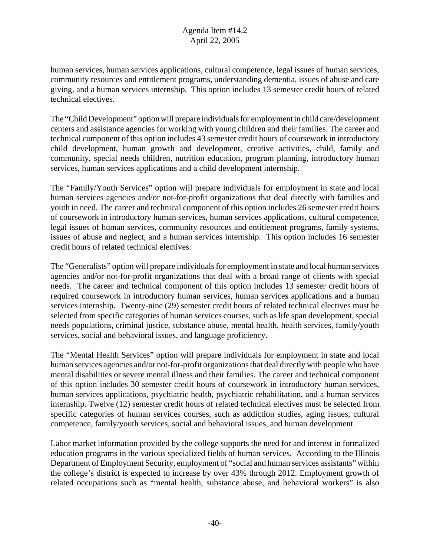human services, human services applications, cultural competence, legal issues of human services, community resources and entitlement programs, understanding dementia, issues of abuse and care giving, and a human services internship. This option includes 13 semester credit hours of related technical electives.

The "Child Development" option will prepare individuals for employment in child care/development centers and assistance agencies for working with young children and their families. The career and technical component of this option includes 43 semester credit hours of coursework in introductory child development, human growth and development, creative activities, child, family and community, special needs children, nutrition education, program planning, introductory human services, human services applications and a child development internship.

The "Family/Youth Services" option will prepare individuals for employment in state and local human services agencies and/or not-for-profit organizations that deal directly with families and youth in need. The career and technical component of this option includes 26 semester credit hours of coursework in introductory human services, human services applications, cultural competence, legal issues of human services, community resources and entitlement programs, family systems, issues of abuse and neglect, and a human services internship. This option includes 16 semester credit hours of related technical electives.

The "Generalists" option will prepare individuals for employment in state and local human services agencies and/or not-for-profit organizations that deal with a broad range of clients with special needs. The career and technical component of this option includes 13 semester credit hours of required coursework in introductory human services, human services applications and a human services internship. Twenty-nine (29) semester credit hours of related technical electives must be selected from specific categories of human services courses, such as life span development, special needs populations, criminal justice, substance abuse, mental health, health services, family/youth services, social and behavioral issues, and language proficiency.

The "Mental Health Services" option will prepare individuals for employment in state and local human services agencies and/or not-for-profit organizations that deal directly with people who have mental disabilities or severe mental illness and their families. The career and technical component of this option includes 30 semester credit hours of coursework in introductory human services, human services applications, psychiatric health, psychiatric rehabilitation, and a human services internship. Twelve (12) semester credit hours of related technical electives must be selected from specific categories of human services courses, such as addiction studies, aging issues, cultural competence, family/youth services, social and behavioral issues, and human development.

Labor market information provided by the college supports the need for and interest in formalized education programs in the various specialized fields of human services. According to the Illinois Department of Employment Security, employment of "social and human services assistants" within the college's district is expected to increase by over 43% through 2012. Employment growth of related occupations such as "mental health, substance abuse, and behavioral workers" is also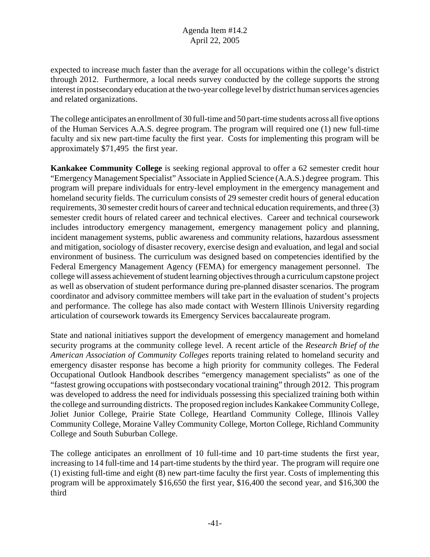expected to increase much faster than the average for all occupations within the college's district through 2012. Furthermore, a local needs survey conducted by the college supports the strong interest in postsecondary education at the two-year college level by district human services agencies and related organizations.

The college anticipates an enrollment of 30 full-time and 50 part-time students across all five options of the Human Services A.A.S. degree program. The program will required one (1) new full-time faculty and six new part-time faculty the first year. Costs for implementing this program will be approximately \$71,495 the first year.

**Kankakee Community College** is seeking regional approval to offer a 62 semester credit hour "Emergency Management Specialist" Associate in Applied Science (A.A.S.) degree program. This program will prepare individuals for entry-level employment in the emergency management and homeland security fields. The curriculum consists of 29 semester credit hours of general education requirements, 30 semester credit hours of career and technical education requirements, and three (3) semester credit hours of related career and technical electives. Career and technical coursework includes introductory emergency management, emergency management policy and planning, incident management systems, public awareness and community relations, hazardous assessment and mitigation, sociology of disaster recovery, exercise design and evaluation, and legal and social environment of business. The curriculum was designed based on competencies identified by the Federal Emergency Management Agency (FEMA) for emergency management personnel. The college will assess achievement of student learning objectives through a curriculum capstone project as well as observation of student performance during pre-planned disaster scenarios. The program coordinator and advisory committee members will take part in the evaluation of student's projects and performance. The college has also made contact with Western Illinois University regarding articulation of coursework towards its Emergency Services baccalaureate program.

State and national initiatives support the development of emergency management and homeland security programs at the community college level. A recent article of the *Research Brief of the American Association of Community Colleges* reports training related to homeland security and emergency disaster response has become a high priority for community colleges. The Federal Occupational Outlook Handbook describes "emergency management specialists" as one of the "fastest growing occupations with postsecondary vocational training" through 2012. This program was developed to address the need for individuals possessing this specialized training both within the college and surrounding districts. The proposed region includes Kankakee Community College, Joliet Junior College, Prairie State College, Heartland Community College, Illinois Valley Community College, Moraine Valley Community College, Morton College, Richland Community College and South Suburban College.

The college anticipates an enrollment of 10 full-time and 10 part-time students the first year, increasing to 14 full-time and 14 part-time students by the third year. The program will require one (1) existing full-time and eight (8) new part-time faculty the first year. Costs of implementing this program will be approximately \$16,650 the first year, \$16,400 the second year, and \$16,300 the third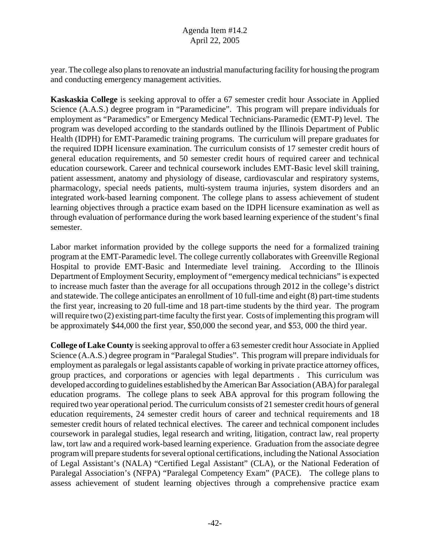year. The college also plans to renovate an industrial manufacturing facility for housing the program and conducting emergency management activities.

**Kaskaskia College** is seeking approval to offer a 67 semester credit hour Associate in Applied Science (A.A.S.) degree program in "Paramedicine". This program will prepare individuals for employment as "Paramedics" or Emergency Medical Technicians-Paramedic (EMT-P) level. The program was developed according to the standards outlined by the Illinois Department of Public Health (IDPH) for EMT-Paramedic training programs. The curriculum will prepare graduates for the required IDPH licensure examination. The curriculum consists of 17 semester credit hours of general education requirements, and 50 semester credit hours of required career and technical education coursework. Career and technical coursework includes EMT-Basic level skill training, patient assessment, anatomy and physiology of disease, cardiovascular and respiratory systems, pharmacology, special needs patients, multi-system trauma injuries, system disorders and an integrated work-based learning component. The college plans to assess achievement of student learning objectives through a practice exam based on the IDPH licensure examination as well as through evaluation of performance during the work based learning experience of the student's final semester.

Labor market information provided by the college supports the need for a formalized training program at the EMT-Paramedic level. The college currently collaborates with Greenville Regional Hospital to provide EMT-Basic and Intermediate level training. According to the Illinois Department of Employment Security, employment of "emergency medical technicians" is expected to increase much faster than the average for all occupations through 2012 in the college's district and statewide. The college anticipates an enrollment of 10 full-time and eight (8) part-time students the first year, increasing to 20 full-time and 18 part-time students by the third year. The program will require two (2) existing part-time faculty the first year. Costs of implementing this program will be approximately \$44,000 the first year, \$50,000 the second year, and \$53, 000 the third year.

**College of Lake County** is seeking approval to offer a 63 semester credit hour Associate in Applied Science (A.A.S.) degree program in "Paralegal Studies". This program will prepare individuals for employment as paralegals or legal assistants capable of working in private practice attorney offices, group practices, and corporations or agencies with legal departments . This curriculum was developed according to guidelines established by the American Bar Association (ABA) for paralegal education programs. The college plans to seek ABA approval for this program following the required two year operational period. The curriculum consists of 21 semester credit hours of general education requirements, 24 semester credit hours of career and technical requirements and 18 semester credit hours of related technical electives. The career and technical component includes coursework in paralegal studies, legal research and writing, litigation, contract law, real property law, tort law and a required work-based learning experience. Graduation from the associate degree program will prepare students for several optional certifications, including the National Association of Legal Assistant's (NALA) "Certified Legal Assistant" (CLA), or the National Federation of Paralegal Association's (NFPA) "Paralegal Competency Exam" (PACE). The college plans to assess achievement of student learning objectives through a comprehensive practice exam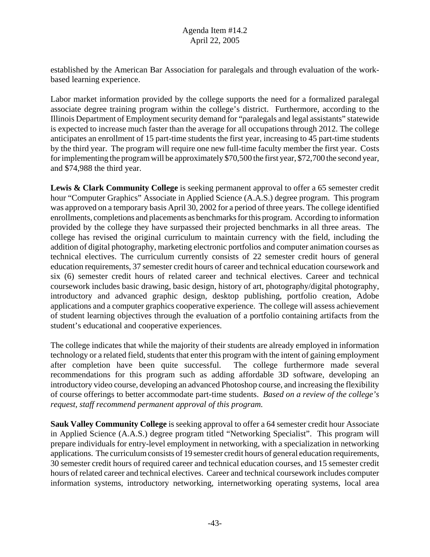established by the American Bar Association for paralegals and through evaluation of the workbased learning experience.

Labor market information provided by the college supports the need for a formalized paralegal associate degree training program within the college's district. Furthermore, according to the Illinois Department of Employment security demand for "paralegals and legal assistants" statewide is expected to increase much faster than the average for all occupations through 2012. The college anticipates an enrollment of 15 part-time students the first year, increasing to 45 part-time students by the third year. The program will require one new full-time faculty member the first year. Costs for implementing the program will be approximately \$70,500 the first year, \$72,700 the second year, and \$74,988 the third year.

**Lewis & Clark Community College** is seeking permanent approval to offer a 65 semester credit hour "Computer Graphics" Associate in Applied Science (A.A.S.) degree program. This program was approved on a temporary basis April 30, 2002 for a period of three years. The college identified enrollments, completions and placements as benchmarks for this program. According to information provided by the college they have surpassed their projected benchmarks in all three areas. The college has revised the original curriculum to maintain currency with the field, including the addition of digital photography, marketing electronic portfolios and computer animation courses as technical electives. The curriculum currently consists of 22 semester credit hours of general education requirements, 37 semester credit hours of career and technical education coursework and six (6) semester credit hours of related career and technical electives. Career and technical coursework includes basic drawing, basic design, history of art, photography/digital photography, introductory and advanced graphic design, desktop publishing, portfolio creation, Adobe applications and a computer graphics cooperative experience. The college will assess achievement of student learning objectives through the evaluation of a portfolio containing artifacts from the student's educational and cooperative experiences.

The college indicates that while the majority of their students are already employed in information technology or a related field, students that enter this program with the intent of gaining employment after completion have been quite successful. The college furthermore made several recommendations for this program such as adding affordable 3D software, developing an introductory video course, developing an advanced Photoshop course, and increasing the flexibility of course offerings to better accommodate part-time students. *Based on a review of the college's request, staff recommend permanent approval of this program.*

**Sauk Valley Community College** is seeking approval to offer a 64 semester credit hour Associate in Applied Science (A.A.S.) degree program titled "Networking Specialist". This program will prepare individuals for entry-level employment in networking, with a specialization in networking applications. The curriculum consists of 19 semester credit hours of general education requirements, 30 semester credit hours of required career and technical education courses, and 15 semester credit hours of related career and technical electives. Career and technical coursework includes computer information systems, introductory networking, internetworking operating systems, local area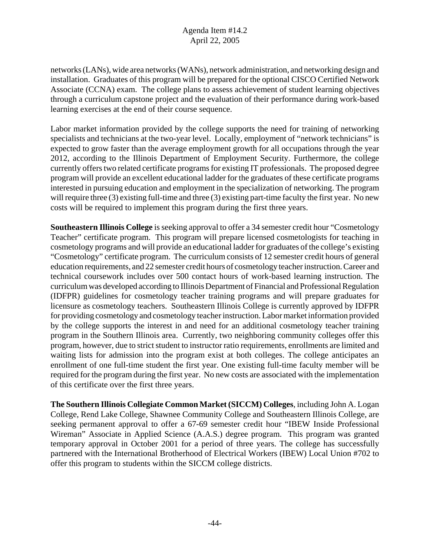networks (LANs), wide area networks (WANs), network administration, and networking design and installation. Graduates of this program will be prepared for the optional CISCO Certified Network Associate (CCNA) exam. The college plans to assess achievement of student learning objectives through a curriculum capstone project and the evaluation of their performance during work-based learning exercises at the end of their course sequence.

Labor market information provided by the college supports the need for training of networking specialists and technicians at the two-year level. Locally, employment of "network technicians" is expected to grow faster than the average employment growth for all occupations through the year 2012, according to the Illinois Department of Employment Security. Furthermore, the college currently offers two related certificate programs for existing IT professionals. The proposed degree program will provide an excellent educational ladder for the graduates of these certificate programs interested in pursuing education and employment in the specialization of networking. The program will require three (3) existing full-time and three (3) existing part-time faculty the first year. No new costs will be required to implement this program during the first three years.

**Southeastern Illinois College** is seeking approval to offer a 34 semester credit hour "Cosmetology Teacher" certificate program. This program will prepare licensed cosmetologists for teaching in cosmetology programs and will provide an educational ladder for graduates of the college's existing "Cosmetology" certificate program. The curriculum consists of 12 semester credit hours of general education requirements, and 22 semester credit hours of cosmetology teacher instruction. Career and technical coursework includes over 500 contact hours of work-based learning instruction. The curriculum was developed according to Illinois Department of Financial and Professional Regulation (IDFPR) guidelines for cosmetology teacher training programs and will prepare graduates for licensure as cosmetology teachers. Southeastern Illinois College is currently approved by IDFPR for providing cosmetology and cosmetology teacher instruction. Labor market information provided by the college supports the interest in and need for an additional cosmetology teacher training program in the Southern Illinois area. Currently, two neighboring community colleges offer this program, however, due to strict student to instructor ratio requirements, enrollments are limited and waiting lists for admission into the program exist at both colleges. The college anticipates an enrollment of one full-time student the first year. One existing full-time faculty member will be required for the program during the first year. No new costs are associated with the implementation of this certificate over the first three years.

**The Southern Illinois Collegiate Common Market (SICCM) Colleges**, including John A. Logan College, Rend Lake College, Shawnee Community College and Southeastern Illinois College, are seeking permanent approval to offer a 67-69 semester credit hour "IBEW Inside Professional Wireman" Associate in Applied Science (A.A.S.) degree program. This program was granted temporary approval in October 2001 for a period of three years. The college has successfully partnered with the International Brotherhood of Electrical Workers (IBEW) Local Union #702 to offer this program to students within the SICCM college districts.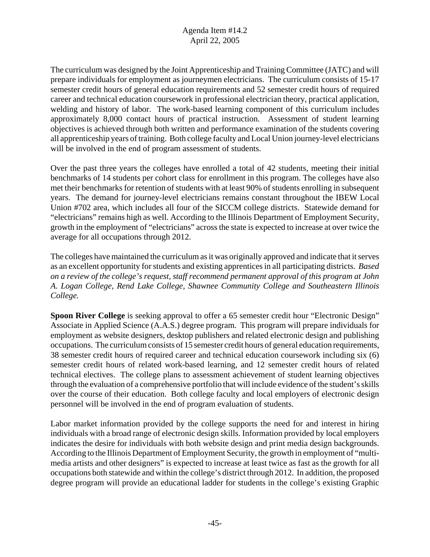The curriculum was designed by the Joint Apprenticeship and Training Committee (JATC) and will prepare individuals for employment as journeymen electricians. The curriculum consists of 15-17 semester credit hours of general education requirements and 52 semester credit hours of required career and technical education coursework in professional electrician theory, practical application, welding and history of labor. The work-based learning component of this curriculum includes approximately 8,000 contact hours of practical instruction. Assessment of student learning objectives is achieved through both written and performance examination of the students covering all apprenticeship years of training. Both college faculty and Local Union journey-level electricians will be involved in the end of program assessment of students.

Over the past three years the colleges have enrolled a total of 42 students, meeting their initial benchmarks of 14 students per cohort class for enrollment in this program. The colleges have also met their benchmarks for retention of students with at least 90% of students enrolling in subsequent years. The demand for journey-level electricians remains constant throughout the IBEW Local Union #702 area, which includes all four of the SICCM college districts. Statewide demand for "electricians" remains high as well. According to the Illinois Department of Employment Security, growth in the employment of "electricians" across the state is expected to increase at over twice the average for all occupations through 2012.

The colleges have maintained the curriculum as it was originally approved and indicate that it serves as an excellent opportunity for students and existing apprentices in all participating districts. *Based on a review of the college's request, staff recommend permanent approval of this program at John A. Logan College, Rend Lake College, Shawnee Community College and Southeastern Illinois College.* 

**Spoon River College** is seeking approval to offer a 65 semester credit hour "Electronic Design" Associate in Applied Science (A.A.S.) degree program. This program will prepare individuals for employment as website designers, desktop publishers and related electronic design and publishing occupations. The curriculum consists of 15 semester credit hours of general education requirements, 38 semester credit hours of required career and technical education coursework including six (6) semester credit hours of related work-based learning, and 12 semester credit hours of related technical electives. The college plans to assessment achievement of student learning objectives through the evaluation of a comprehensive portfolio that will include evidence of the student's skills over the course of their education. Both college faculty and local employers of electronic design personnel will be involved in the end of program evaluation of students.

Labor market information provided by the college supports the need for and interest in hiring individuals with a broad range of electronic design skills. Information provided by local employers indicates the desire for individuals with both website design and print media design backgrounds. According to the Illinois Department of Employment Security, the growth in employment of "multimedia artists and other designers" is expected to increase at least twice as fast as the growth for all occupations both statewide and within the college's district through 2012. In addition, the proposed degree program will provide an educational ladder for students in the college's existing Graphic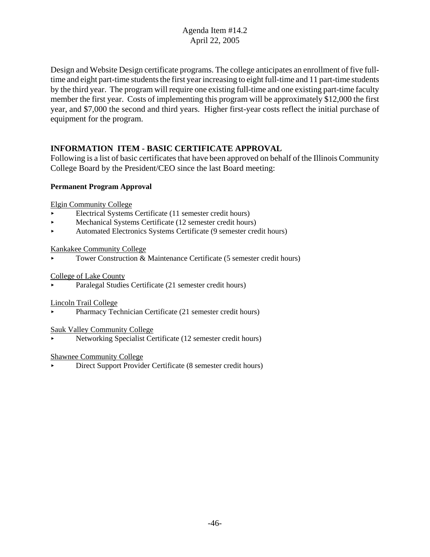Design and Website Design certificate programs. The college anticipates an enrollment of five fulltime and eight part-time students the first year increasing to eight full-time and 11 part-time students by the third year. The program will require one existing full-time and one existing part-time faculty member the first year. Costs of implementing this program will be approximately \$12,000 the first year, and \$7,000 the second and third years. Higher first-year costs reflect the initial purchase of equipment for the program.

# **INFORMATION ITEM - BASIC CERTIFICATE APPROVAL**

Following is a list of basic certificates that have been approved on behalf of the Illinois Community College Board by the President/CEO since the last Board meeting:

#### **Permanent Program Approval**

Elgin Community College

- < Electrical Systems Certificate (11 semester credit hours)
- < Mechanical Systems Certificate (12 semester credit hours)
- < Automated Electronics Systems Certificate (9 semester credit hours)

#### Kankakee Community College

< Tower Construction & Maintenance Certificate (5 semester credit hours)

#### College of Lake County

< Paralegal Studies Certificate (21 semester credit hours)

#### Lincoln Trail College

< Pharmacy Technician Certificate (21 semester credit hours)

#### Sauk Valley Community College

< Networking Specialist Certificate (12 semester credit hours)

#### Shawnee Community College

< Direct Support Provider Certificate (8 semester credit hours)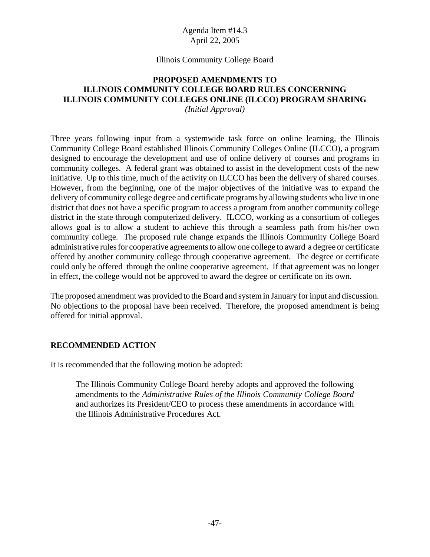#### Illinois Community College Board

# **PROPOSED AMENDMENTS TO ILLINOIS COMMUNITY COLLEGE BOARD RULES CONCERNING ILLINOIS COMMUNITY COLLEGES ONLINE (ILCCO) PROGRAM SHARING**

*(Initial Approval)*

Three years following input from a systemwide task force on online learning, the Illinois Community College Board established Illinois Community Colleges Online (ILCCO), a program designed to encourage the development and use of online delivery of courses and programs in community colleges. A federal grant was obtained to assist in the development costs of the new initiative. Up to this time, much of the activity on ILCCO has been the delivery of shared courses. However, from the beginning, one of the major objectives of the initiative was to expand the delivery of community college degree and certificate programs by allowing students who live in one district that does not have a specific program to access a program from another community college district in the state through computerized delivery. ILCCO, working as a consortium of colleges allows goal is to allow a student to achieve this through a seamless path from his/her own community college. The proposed rule change expands the Illinois Community College Board administrative rules for cooperative agreements to allow one college to award a degree or certificate offered by another community college through cooperative agreement. The degree or certificate could only be offered through the online cooperative agreement. If that agreement was no longer in effect, the college would not be approved to award the degree or certificate on its own.

The proposed amendment was provided to the Board and system in January for input and discussion. No objections to the proposal have been received. Therefore, the proposed amendment is being offered for initial approval.

#### **RECOMMENDED ACTION**

It is recommended that the following motion be adopted:

The Illinois Community College Board hereby adopts and approved the following amendments to the *Administrative Rules of the Illinois Community College Board* and authorizes its President/CEO to process these amendments in accordance with the Illinois Administrative Procedures Act.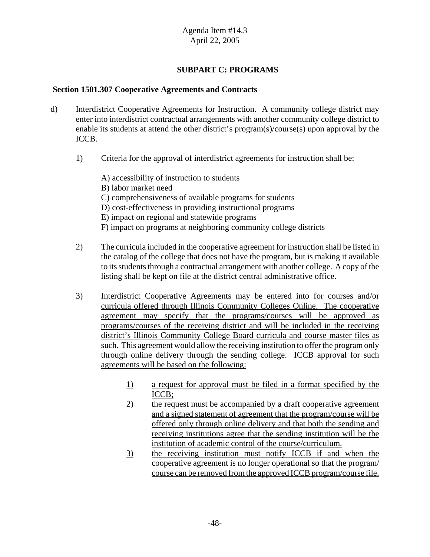# **SUBPART C: PROGRAMS**

#### **Section 1501.307 Cooperative Agreements and Contracts**

- d) Interdistrict Cooperative Agreements for Instruction. A community college district may enter into interdistrict contractual arrangements with another community college district to enable its students at attend the other district's program(s)/course(s) upon approval by the ICCB.
	- 1) Criteria for the approval of interdistrict agreements for instruction shall be:
		- A) accessibility of instruction to students B) labor market need C) comprehensiveness of available programs for students D) cost-effectiveness in providing instructional programs E) impact on regional and statewide programs F) impact on programs at neighboring community college districts
	- 2) The curricula included in the cooperative agreement for instruction shall be listed in the catalog of the college that does not have the program, but is making it available to its students through a contractual arrangement with another college. A copy of the listing shall be kept on file at the district central administrative office.
	- 3) Interdistrict Cooperative Agreements may be entered into for courses and/or curricula offered through Illinois Community Colleges Online. The cooperative agreement may specify that the programs/courses will be approved as programs/courses of the receiving district and will be included in the receiving district's Illinois Community College Board curricula and course master files as such. This agreement would allow the receiving institution to offer the program only through online delivery through the sending college. ICCB approval for such agreements will be based on the following:
		- 1) a request for approval must be filed in a format specified by the ICCB;
		- 2) the request must be accompanied by a draft cooperative agreement and a signed statement of agreement that the program/course will be offered only through online delivery and that both the sending and receiving institutions agree that the sending institution will be the institution of academic control of the course/curriculum.
		- 3) the receiving institution must notify ICCB if and when the cooperative agreement is no longer operational so that the program/ course can be removed from the approved ICCB program/course file.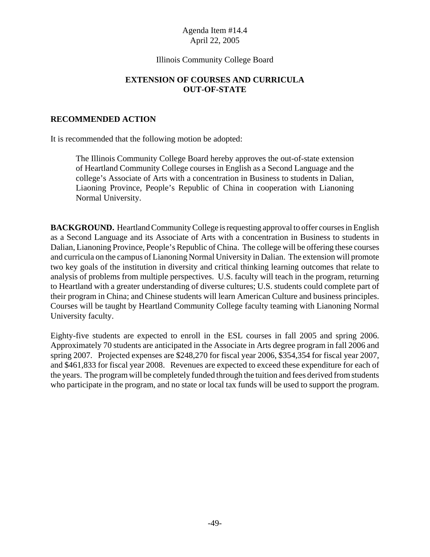#### Illinois Community College Board

## **EXTENSION OF COURSES AND CURRICULA OUT-OF-STATE**

#### **RECOMMENDED ACTION**

It is recommended that the following motion be adopted:

The Illinois Community College Board hereby approves the out-of-state extension of Heartland Community College courses in English as a Second Language and the college's Associate of Arts with a concentration in Business to students in Dalian, Liaoning Province, People's Republic of China in cooperation with Lianoning Normal University.

**BACKGROUND.** Heartland Community College is requesting approval to offer courses in English as a Second Language and its Associate of Arts with a concentration in Business to students in Dalian, Lianoning Province, People's Republic of China. The college will be offering these courses and curricula on the campus of Lianoning Normal University in Dalian. The extension will promote two key goals of the institution in diversity and critical thinking learning outcomes that relate to analysis of problems from multiple perspectives. U.S. faculty will teach in the program, returning to Heartland with a greater understanding of diverse cultures; U.S. students could complete part of their program in China; and Chinese students will learn American Culture and business principles. Courses will be taught by Heartland Community College faculty teaming with Lianoning Normal University faculty.

Eighty-five students are expected to enroll in the ESL courses in fall 2005 and spring 2006. Approximately 70 students are anticipated in the Associate in Arts degree program in fall 2006 and spring 2007. Projected expenses are \$248,270 for fiscal year 2006, \$354,354 for fiscal year 2007, and \$461,833 for fiscal year 2008. Revenues are expected to exceed these expenditure for each of the years. The program will be completely funded through the tuition and fees derived from students who participate in the program, and no state or local tax funds will be used to support the program.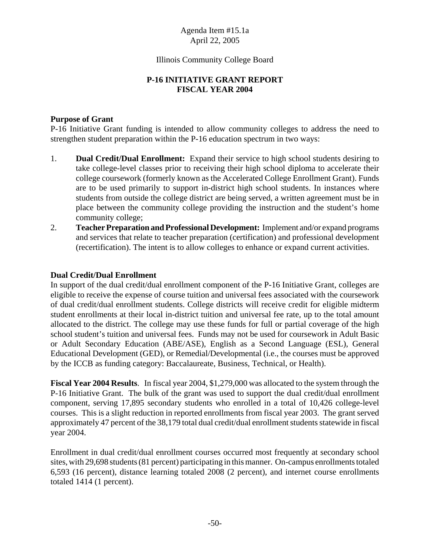#### Illinois Community College Board

# **P-16 INITIATIVE GRANT REPORT FISCAL YEAR 2004**

#### **Purpose of Grant**

P-16 Initiative Grant funding is intended to allow community colleges to address the need to strengthen student preparation within the P-16 education spectrum in two ways:

- 1. **Dual Credit/Dual Enrollment:** Expand their service to high school students desiring to take college-level classes prior to receiving their high school diploma to accelerate their college coursework (formerly known as the Accelerated College Enrollment Grant). Funds are to be used primarily to support in-district high school students. In instances where students from outside the college district are being served, a written agreement must be in place between the community college providing the instruction and the student's home community college;
- 2. **Teacher Preparation and Professional Development:** Implement and/or expand programs and services that relate to teacher preparation (certification) and professional development (recertification). The intent is to allow colleges to enhance or expand current activities.

#### **Dual Credit/Dual Enrollment**

In support of the dual credit/dual enrollment component of the P-16 Initiative Grant, colleges are eligible to receive the expense of course tuition and universal fees associated with the coursework of dual credit/dual enrollment students. College districts will receive credit for eligible midterm student enrollments at their local in-district tuition and universal fee rate, up to the total amount allocated to the district. The college may use these funds for full or partial coverage of the high school student's tuition and universal fees. Funds may not be used for coursework in Adult Basic or Adult Secondary Education (ABE/ASE), English as a Second Language (ESL), General Educational Development (GED), or Remedial/Developmental (i.e., the courses must be approved by the ICCB as funding category: Baccalaureate, Business, Technical, or Health).

**Fiscal Year 2004 Results**. In fiscal year 2004, \$1,279,000 was allocated to the system through the P-16 Initiative Grant. The bulk of the grant was used to support the dual credit/dual enrollment component, serving 17,895 secondary students who enrolled in a total of 10,426 college-level courses. This is a slight reduction in reported enrollments from fiscal year 2003. The grant served approximately 47 percent of the 38,179 total dual credit/dual enrollment students statewide in fiscal year 2004.

Enrollment in dual credit/dual enrollment courses occurred most frequently at secondary school sites, with 29,698 students (81 percent) participating in this manner. On-campus enrollments totaled 6,593 (16 percent), distance learning totaled 2008 (2 percent), and internet course enrollments totaled 1414 (1 percent).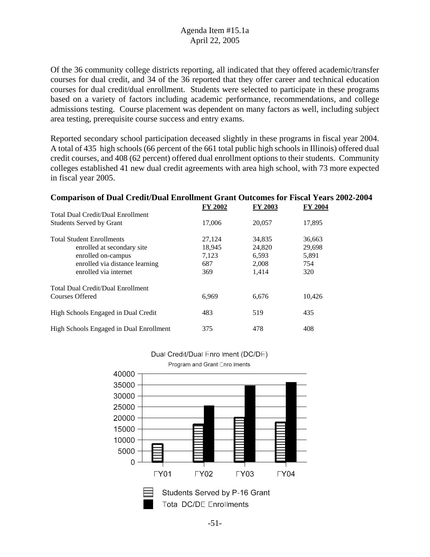Of the 36 community college districts reporting, all indicated that they offered academic/transfer courses for dual credit, and 34 of the 36 reported that they offer career and technical education courses for dual credit/dual enrollment. Students were selected to participate in these programs based on a variety of factors including academic performance, recommendations, and college admissions testing. Course placement was dependent on many factors as well, including subject area testing, prerequisite course success and entry exams.

Reported secondary school participation deceased slightly in these programs in fiscal year 2004. A total of 435 high schools (66 percent of the 661 total public high schools in Illinois) offered dual credit courses, and 408 (62 percent) offered dual enrollment options to their students. Community colleges established 41 new dual credit agreements with area high school, with 73 more expected in fiscal year 2005.

**Comparison of Dual Credit/Dual Enrollment Grant Outcomes for Fiscal Years 2002-2004**

|                                          | <b>FY 2002</b> | <b>FY 2003</b> | <b>FY 2004</b> |  |
|------------------------------------------|----------------|----------------|----------------|--|
| <b>Total Dual Credit/Dual Enrollment</b> |                |                |                |  |
| <b>Students Served by Grant</b>          | 17,006         | 20,057         | 17,895         |  |
| <b>Total Student Enrollments</b>         | 27,124         | 34,835         | 36,663         |  |
| enrolled at secondary site               | 18,945         | 24,820         | 29,698         |  |
| enrolled on-campus                       | 7,123          | 6,593          | 5,891          |  |
| enrolled via distance learning           | 687            | 2,008          | 754            |  |
| enrolled via internet                    | 369            | 1.414          | 320            |  |
| <b>Total Dual Credit/Dual Enrollment</b> |                |                |                |  |
| Courses Offered                          | 6,969          | 6,676          | 10,426         |  |
| High Schools Engaged in Dual Credit      | 483            | 519            | 435            |  |
| High Schools Engaged in Dual Enrollment  | 375            | 478            | 408            |  |



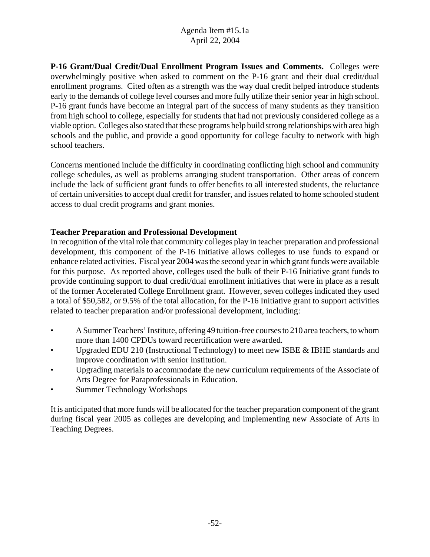**P-16 Grant/Dual Credit/Dual Enrollment Program Issues and Comments.** Colleges were overwhelmingly positive when asked to comment on the P-16 grant and their dual credit/dual enrollment programs. Cited often as a strength was the way dual credit helped introduce students early to the demands of college level courses and more fully utilize their senior year in high school. P-16 grant funds have become an integral part of the success of many students as they transition from high school to college, especially for students that had not previously considered college as a viable option. Colleges also stated that these programs help build strong relationships with area high schools and the public, and provide a good opportunity for college faculty to network with high school teachers.

Concerns mentioned include the difficulty in coordinating conflicting high school and community college schedules, as well as problems arranging student transportation. Other areas of concern include the lack of sufficient grant funds to offer benefits to all interested students, the reluctance of certain universities to accept dual credit for transfer, and issues related to home schooled student access to dual credit programs and grant monies.

# **Teacher Preparation and Professional Development**

In recognition of the vital role that community colleges play in teacher preparation and professional development, this component of the P-16 Initiative allows colleges to use funds to expand or enhance related activities. Fiscal year 2004 was the second year in which grant funds were available for this purpose. As reported above, colleges used the bulk of their P-16 Initiative grant funds to provide continuing support to dual credit/dual enrollment initiatives that were in place as a result of the former Accelerated College Enrollment grant. However, seven colleges indicated they used a total of \$50,582, or 9.5% of the total allocation, for the P-16 Initiative grant to support activities related to teacher preparation and/or professional development, including:

- A Summer Teachers' Institute, offering 49 tuition-free courses to 210 area teachers, to whom more than 1400 CPDUs toward recertification were awarded.
- Upgraded EDU 210 (Instructional Technology) to meet new ISBE & IBHE standards and improve coordination with senior institution.
- Upgrading materials to accommodate the new curriculum requirements of the Associate of Arts Degree for Paraprofessionals in Education.
- Summer Technology Workshops

It is anticipated that more funds will be allocated for the teacher preparation component of the grant during fiscal year 2005 as colleges are developing and implementing new Associate of Arts in Teaching Degrees.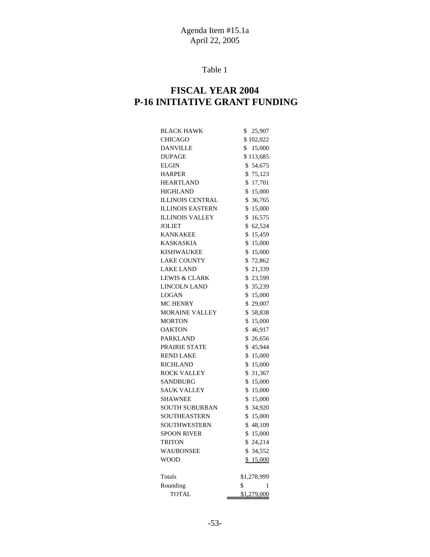Table 1

# **FISCAL YEAR 2004 P-16 INITIATIVE GRANT FUNDING**

| <b>BLACK HAWK</b><br>25,907<br>\$       |   |
|-----------------------------------------|---|
| <b>CHICAGO</b><br>\$102,022             |   |
| <b>DANVILLE</b><br>\$<br>15,000         |   |
| <b>DUPAGE</b><br>\$113,685              |   |
| \$54,675<br>ELGIN                       |   |
| <b>HARPER</b><br>\$<br>75,123           |   |
| <b>HEARTLAND</b><br>17,701<br>\$        |   |
| <b>HIGHLAND</b><br>15,000<br>\$         |   |
| <b>ILLINOIS CENTRAL</b><br>36,765<br>\$ |   |
| <b>ILLINOIS EASTERN</b><br>\$<br>15,000 |   |
| <b>ILLINOIS VALLEY</b><br>\$<br>16,575  |   |
| <b>JOLIET</b><br>\$<br>62,524           |   |
| <b>KANKAKEE</b><br>\$<br>15,459         |   |
| \$<br><b>KASKASKIA</b><br>15,000        |   |
| <b>KISHWAUKEE</b><br>\$<br>15,000       |   |
| <b>LAKE COUNTY</b><br>\$72,862          |   |
| <b>LAKE LAND</b><br>\$21,339            |   |
| LEWIS & CLARK<br>\$23,599               |   |
| \$35,239<br><b>LINCOLN LAND</b>         |   |
| \$15,000<br>LOGAN                       |   |
| <b>MC HENRY</b><br>\$29,007             |   |
| <b>MORAINE VALLEY</b><br>\$58,838       |   |
| \$<br><b>MORTON</b><br>15,000           |   |
| \$46,917<br><b>OAKTON</b>               |   |
| <b>PARKLAND</b><br>\$<br>26,656         |   |
| \$45,944<br>PRAIRIE STATE               |   |
| \$<br><b>REND LAKE</b><br>15,000        |   |
| <b>RICHLAND</b><br>\$<br>15,000         |   |
| \$<br>31,367<br><b>ROCK VALLEY</b>      |   |
| <b>SANDBURG</b><br>\$<br>15,000         |   |
| <b>SAUK VALLEY</b><br>\$<br>15,000      |   |
| <b>SHAWNEE</b><br>\$<br>15,000          |   |
| <b>SOUTH SUBURBAN</b><br>\$<br>34,920   |   |
| SOUTHEASTERN<br>\$<br>15,000            |   |
| <b>SOUTHWESTERN</b><br>\$48,109         |   |
| \$<br><b>SPOON RIVER</b><br>15,000      |   |
| \$24,214<br>TRITON                      |   |
| WAUBONSEE<br>\$.<br>34,552              |   |
| WOOD<br>\$15,000                        |   |
|                                         |   |
| Totals<br>\$1,278,999                   |   |
| \$<br>Rounding                          | 1 |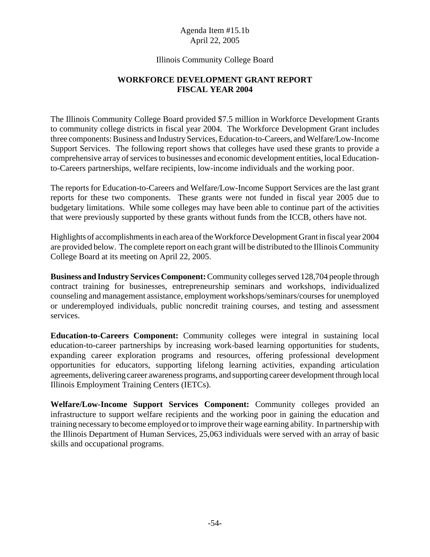#### Illinois Community College Board

# **WORKFORCE DEVELOPMENT GRANT REPORT FISCAL YEAR 2004**

The Illinois Community College Board provided \$7.5 million in Workforce Development Grants to community college districts in fiscal year 2004. The Workforce Development Grant includes three components: Business and Industry Services, Education-to-Careers, and Welfare/Low-Income Support Services. The following report shows that colleges have used these grants to provide a comprehensive array of services to businesses and economic development entities, local Educationto-Careers partnerships, welfare recipients, low-income individuals and the working poor.

The reports for Education-to-Careers and Welfare/Low-Income Support Services are the last grant reports for these two components. These grants were not funded in fiscal year 2005 due to budgetary limitations. While some colleges may have been able to continue part of the activities that were previously supported by these grants without funds from the ICCB, others have not.

Highlights of accomplishments in each area of the Workforce Development Grant in fiscal year 2004 are provided below. The complete report on each grant will be distributed to the Illinois Community College Board at its meeting on April 22, 2005.

**Business and Industry Services Component:** Community colleges served 128,704 people through contract training for businesses, entrepreneurship seminars and workshops, individualized counseling and management assistance, employment workshops/seminars/courses for unemployed or underemployed individuals, public noncredit training courses, and testing and assessment services.

**Education-to-Careers Component:** Community colleges were integral in sustaining local education-to-career partnerships by increasing work-based learning opportunities for students, expanding career exploration programs and resources, offering professional development opportunities for educators, supporting lifelong learning activities, expanding articulation agreements, delivering career awareness programs, and supporting career development through local Illinois Employment Training Centers (IETCs).

**Welfare/Low-Income Support Services Component:** Community colleges provided an infrastructure to support welfare recipients and the working poor in gaining the education and training necessary to become employed or to improve their wage earning ability. In partnership with the Illinois Department of Human Services, 25,063 individuals were served with an array of basic skills and occupational programs.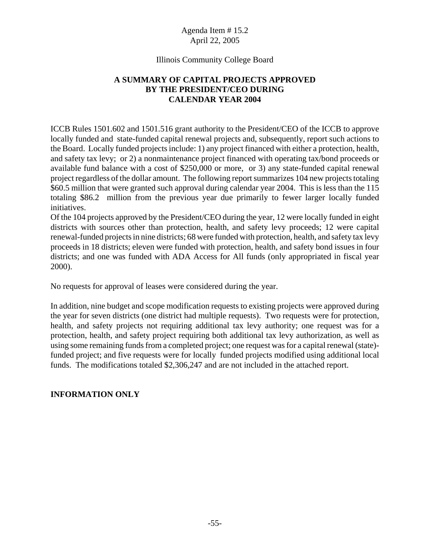#### Illinois Community College Board

# **A SUMMARY OF CAPITAL PROJECTS APPROVED BY THE PRESIDENT/CEO DURING CALENDAR YEAR 2004**

ICCB Rules 1501.602 and 1501.516 grant authority to the President/CEO of the ICCB to approve locally funded and state-funded capital renewal projects and, subsequently, report such actions to the Board. Locally funded projects include: 1) any project financed with either a protection, health, and safety tax levy; or 2) a nonmaintenance project financed with operating tax/bond proceeds or available fund balance with a cost of \$250,000 or more, or 3) any state-funded capital renewal project regardless of the dollar amount. The following report summarizes 104 new projects totaling \$60.5 million that were granted such approval during calendar year 2004. This is less than the 115 totaling \$86.2 million from the previous year due primarily to fewer larger locally funded initiatives.

Of the 104 projects approved by the President/CEO during the year, 12 were locally funded in eight districts with sources other than protection, health, and safety levy proceeds; 12 were capital renewal-funded projects in nine districts; 68 were funded with protection, health, and safety tax levy proceeds in 18 districts; eleven were funded with protection, health, and safety bond issues in four districts; and one was funded with ADA Access for All funds (only appropriated in fiscal year 2000).

No requests for approval of leases were considered during the year.

In addition, nine budget and scope modification requests to existing projects were approved during the year for seven districts (one district had multiple requests). Two requests were for protection, health, and safety projects not requiring additional tax levy authority; one request was for a protection, health, and safety project requiring both additional tax levy authorization, as well as using some remaining funds from a completed project; one request was for a capital renewal (state) funded project; and five requests were for locally funded projects modified using additional local funds. The modifications totaled \$2,306,247 and are not included in the attached report.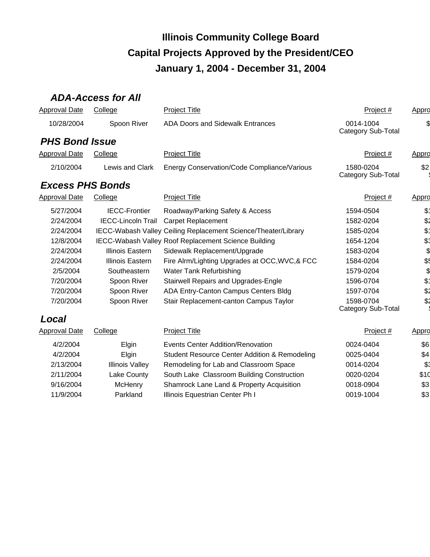# *ADA-Access for All*

| <b>Approval Date</b>    | College                   | <b>Project Title</b>                                           | Project #                       | Appro             |
|-------------------------|---------------------------|----------------------------------------------------------------|---------------------------------|-------------------|
| 10/28/2004              | Spoon River               | ADA Doors and Sidewalk Entrances                               | 0014-1004<br>Category Sub-Total |                   |
| <b>PHS Bond Issue</b>   |                           |                                                                |                                 |                   |
| <b>Approval Date</b>    | College                   | <b>Project Title</b>                                           | Project $#$                     | <u>Appro</u>      |
| 2/10/2004               | Lewis and Clark           | Energy Conservation/Code Compliance/Various                    | 1580-0204<br>Category Sub-Total | \$2               |
| <b>Excess PHS Bonds</b> |                           |                                                                |                                 |                   |
| <b>Approval Date</b>    | College                   | <b>Project Title</b>                                           | Project #                       | Appro             |
| 5/27/2004               | <b>IECC-Frontier</b>      | Roadway/Parking Safety & Access                                | 1594-0504                       | $$^{\dagger}$     |
| 2/24/2004               | <b>IECC-Lincoln Trail</b> | Carpet Replacement                                             | 1582-0204                       | \$2               |
| 2/24/2004               |                           | IECC-Wabash Valley Ceiling Replacement Science/Theater/Library | 1585-0204                       | $\$\mathring{\,}$ |
| 12/8/2004               |                           | IECC-Wabash Valley Roof Replacement Science Building           | 1654-1204                       | \$1               |
| 2/24/2004               | Illinois Eastern          | Sidewalk Replacement/Upgrade                                   | 1583-0204                       | \$                |
| 2/24/2004               | Illinois Eastern          | Fire Alrm/Lighting Upgrades at OCC, WVC, & FCC                 | 1584-0204                       | \$                |
| 2/5/2004                | Southeastern              | Water Tank Refurbishing                                        | 1579-0204                       | \$                |
| 7/20/2004               | Spoon River               | Stairwell Repairs and Upgrades-Engle                           | 1596-0704                       | \$1               |
| 7/20/2004               | Spoon River               | ADA Entry-Canton Campus Centers Bldg                           | 1597-0704                       | \$2               |
| 7/20/2004               | Spoon River               | Stair Replacement-canton Campus Taylor                         | 1598-0704<br>Category Sub-Total | \$2               |
| Local                   |                           |                                                                |                                 |                   |
| Approval Date           | College                   | <b>Project Title</b>                                           | Project #                       | Appro             |
| 4/2/2004                | Elgin                     | <b>Events Center Addition/Renovation</b>                       | 0024-0404                       | \$6               |
| 4/2/2004                | Elgin                     | <b>Student Resource Center Addition &amp; Remodeling</b>       | 0025-0404                       | \$4               |
| 2/13/2004               | <b>Illinois Valley</b>    | Remodeling for Lab and Classroom Space                         | 0014-0204                       | \$3               |
| 2/11/2004               | Lake County               | South Lake Classroom Building Construction                     | 0020-0204                       | \$10              |
| 9/16/2004               | McHenry                   | Shamrock Lane Land & Property Acquisition                      | 0018-0904                       | \$3               |
| 11/9/2004               | Parkland                  | Illinois Equestrian Center Ph I                                | 0019-1004                       | \$3               |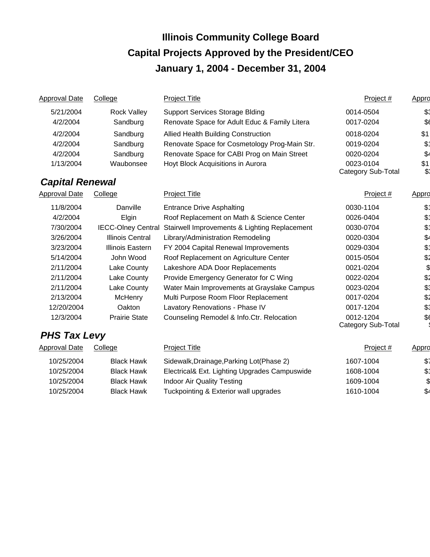| Approval Date          | College                   | <b>Project Title</b>                          | Project #                              | Appro         |
|------------------------|---------------------------|-----------------------------------------------|----------------------------------------|---------------|
| 5/21/2004              | <b>Rock Valley</b>        | <b>Support Services Storage Blding</b>        | 0014-0504                              | \$.           |
| 4/2/2004               | Sandburg                  | Renovate Space for Adult Educ & Family Litera | 0017-0204                              | \$6           |
| 4/2/2004               | Sandburg                  | <b>Allied Health Building Construction</b>    | 0018-0204                              | \$1           |
| 4/2/2004               | Sandburg                  | Renovate Space for Cosmetology Prog-Main Str. | 0019-0204                              | $$^{\dagger}$ |
| 4/2/2004               | Sandburg                  | Renovate Space for CABI Prog on Main Street   | 0020-0204                              | $\frac{6}{5}$ |
| 1/13/2004              | Waubonsee                 | Hoyt Block Acquisitions in Aurora             | 0023-0104<br>Category Sub-Total        | \$1<br>\$1    |
| <b>Capital Renewal</b> |                           |                                               |                                        |               |
| Approval Date          | College                   | <b>Project Title</b>                          | Project #                              | Appro         |
| 11/8/2004              | Danville                  | <b>Entrance Drive Asphalting</b>              | 0030-1104                              | \$            |
| 4/2/2004               | Elgin                     | Roof Replacement on Math & Science Center     | 0026-0404                              | \$.           |
| 7/30/2004              | <b>IECC-Olney Central</b> | Stairwell Improvements & Lighting Replacement | 0030-0704                              | \$1           |
| 3/26/2004              | <b>Illinois Central</b>   | Library/Administration Remodeling             | 0020-0304                              | \$4           |
| 3/23/2004              | <b>Illinois Eastern</b>   | FY 2004 Capital Renewal Improvements          | 0029-0304                              | $$^{\circ}$   |
| 5/14/2004              | John Wood                 | Roof Replacement on Agriculture Center        | 0015-0504                              | \$2           |
| 2/11/2004              | Lake County               | Lakeshore ADA Door Replacements               | 0021-0204                              | \$            |
| 2/11/2004              | Lake County               | Provide Emergency Generator for C Wing        | 0022-0204                              | \$2           |
| 2/11/2004              | Lake County               | Water Main Improvements at Grayslake Campus   | 0023-0204                              | \$1           |
| 2/13/2004              | McHenry                   | Multi Purpose Room Floor Replacement          | 0017-0204                              | \$2           |
| 12/20/2004             | Oakton                    | Lavatory Renovations - Phase IV               | 0017-1204                              | \$1           |
| 12/3/2004              | <b>Prairie State</b>      | Counseling Remodel & Info.Ctr. Relocation     | 0012-1204<br><b>Category Sub-Total</b> | \$6           |
| <b>PHS Tax Levy</b>    |                           |                                               |                                        |               |
| <b>Approval Date</b>   | College                   | <b>Project Title</b>                          | Project #                              | Appro         |
| 10/25/2004             | <b>Black Hawk</b>         | Sidewalk, Drainage, Parking Lot (Phase 2)     | 1607-1004                              | \$,           |
| 10/25/2004             | <b>Black Hawk</b>         | Electrical& Ext. Lighting Upgrades Campuswide | 1608-1004                              | \$1           |
| 10/25/2004             | <b>Black Hawk</b>         | <b>Indoor Air Quality Testing</b>             | 1609-1004                              | \$            |
| 10/25/2004             | <b>Black Hawk</b>         | Tuckpointing & Exterior wall upgrades         | 1610-1004                              | \$4           |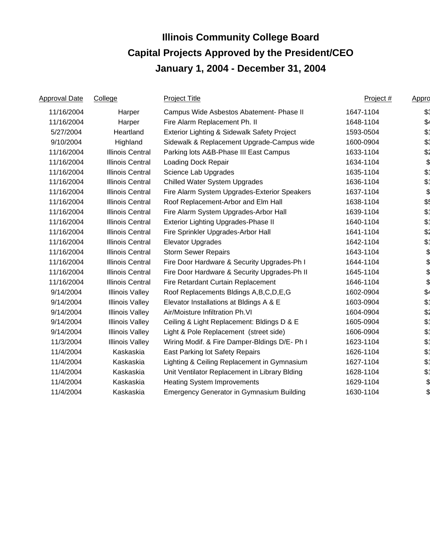| Approval Date | College                 | <b>Project Title</b>                             | Project # | Appro          |
|---------------|-------------------------|--------------------------------------------------|-----------|----------------|
| 11/16/2004    | Harper                  | Campus Wide Asbestos Abatement- Phase II         | 1647-1104 | \$3            |
| 11/16/2004    | Harper                  | Fire Alarm Replacement Ph. II                    | 1648-1104 | \$4            |
| 5/27/2004     | Heartland               | Exterior Lighting & Sidewalk Safety Project      | 1593-0504 | $$^{\circ}$    |
| 9/10/2004     | Highland                | Sidewalk & Replacement Upgrade-Campus wide       | 1600-0904 | \$.            |
| 11/16/2004    | <b>Illinois Central</b> | Parking lots A&B-Phase III East Campus           | 1633-1104 | \$2            |
| 11/16/2004    | <b>Illinois Central</b> | Loading Dock Repair                              | 1634-1104 | \$             |
| 11/16/2004    | <b>Illinois Central</b> | Science Lab Upgrades                             | 1635-1104 | $$^{\circ}$    |
| 11/16/2004    | <b>Illinois Central</b> | <b>Chilled Water System Upgrades</b>             | 1636-1104 | $$^{\circ}$    |
| 11/16/2004    | <b>Illinois Central</b> | Fire Alarm System Upgrades-Exterior Speakers     | 1637-1104 | \$             |
| 11/16/2004    | <b>Illinois Central</b> | Roof Replacement-Arbor and Elm Hall              | 1638-1104 | \$             |
| 11/16/2004    | <b>Illinois Central</b> | Fire Alarm System Upgrades-Arbor Hall            | 1639-1104 | $\mathcal{L}$  |
| 11/16/2004    | Illinois Central        | Exterior Lighting Upgrades-Phase II              | 1640-1104 | $\mathfrak{P}$ |
| 11/16/2004    | <b>Illinois Central</b> | Fire Sprinkler Upgrades-Arbor Hall               | 1641-1104 | \$2            |
| 11/16/2004    | <b>Illinois Central</b> | <b>Elevator Upgrades</b>                         | 1642-1104 | $\mathfrak{P}$ |
| 11/16/2004    | <b>Illinois Central</b> | <b>Storm Sewer Repairs</b>                       | 1643-1104 | \$             |
| 11/16/2004    | <b>Illinois Central</b> | Fire Door Hardware & Security Upgrades-Ph I      | 1644-1104 | \$             |
| 11/16/2004    | <b>Illinois Central</b> | Fire Door Hardware & Security Upgrades-Ph II     | 1645-1104 | \$             |
| 11/16/2004    | <b>Illinois Central</b> | Fire Retardant Curtain Replacement               | 1646-1104 | \$             |
| 9/14/2004     | <b>Illinois Valley</b>  | Roof Replacements Bldings A, B, C, D, E, G       | 1602-0904 | $\frac{2}{3}$  |
| 9/14/2004     | <b>Illinois Valley</b>  | Elevator Installations at Bldings A & E          | 1603-0904 | $\mathcal{L}$  |
| 9/14/2004     | <b>Illinois Valley</b>  | Air/Moisture Infiltration Ph.VI                  | 1604-0904 | \$2            |
| 9/14/2004     | <b>Illinois Valley</b>  | Ceiling & Light Replacement: Bldings D & E       | 1605-0904 | $\mathfrak{P}$ |
| 9/14/2004     | <b>Illinois Valley</b>  | Light & Pole Replacement (street side)           | 1606-0904 | $\mathfrak{P}$ |
| 11/3/2004     | <b>Illinois Valley</b>  | Wiring Modif. & Fire Damper-Bldings D/E- Ph I    | 1623-1104 | $\mathfrak{P}$ |
| 11/4/2004     | Kaskaskia               | East Parking lot Safety Repairs                  | 1626-1104 | $\mathcal{L}$  |
| 11/4/2004     | Kaskaskia               | Lighting & Ceiling Replacement in Gymnasium      | 1627-1104 | $\mathcal{L}$  |
| 11/4/2004     | Kaskaskia               | Unit Ventilator Replacement in Library Blding    | 1628-1104 | $\mathcal{L}$  |
| 11/4/2004     | Kaskaskia               | <b>Heating System Improvements</b>               | 1629-1104 | \$             |
| 11/4/2004     | Kaskaskia               | <b>Emergency Generator in Gymnasium Building</b> | 1630-1104 | \$             |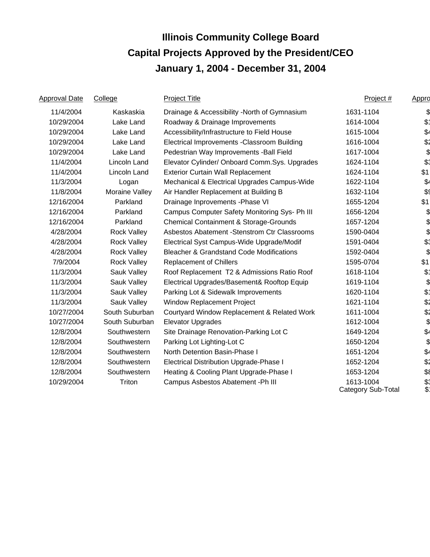| <b>Approval Date</b> | College             | <b>Project Title</b>                                | Project #                       | Appro         |
|----------------------|---------------------|-----------------------------------------------------|---------------------------------|---------------|
| 11/4/2004            | Kaskaskia           | Drainage & Accessibility -North of Gymnasium        | 1631-1104                       | \$            |
| 10/29/2004           | Lake Land           | Roadway & Drainage Improvements                     | 1614-1004                       | $$^{\dagger}$ |
| 10/29/2004           | Lake Land           | Accessibility/Infrastructure to Field House         | 1615-1004                       | \$4           |
| 10/29/2004           | Lake Land           | Electrical Improvements - Classroom Building        | 1616-1004                       | \$2           |
| 10/29/2004           | Lake Land           | Pedestrian Way Improvements - Ball Field            | 1617-1004                       | \$            |
| 11/4/2004            | Lincoln Land        | Elevator Cylinder/ Onboard Comm.Sys. Upgrades       | 1624-1104                       | \$1           |
| 11/4/2004            | <b>Lincoln Land</b> | <b>Exterior Curtain Wall Replacement</b>            | 1624-1104                       | \$1           |
| 11/3/2004            | Logan               | Mechanical & Electrical Upgrades Campus-Wide        | 1622-1104                       | \$4           |
| 11/8/2004            | Moraine Valley      | Air Handler Replacement at Building B               | 1632-1104                       | \$9           |
| 12/16/2004           | Parkland            | Drainage Inprovements - Phase VI                    | 1655-1204                       | \$1           |
| 12/16/2004           | Parkland            | Campus Computer Safety Monitoring Sys- Ph III       | 1656-1204                       |               |
| 12/16/2004           | Parkland            | Chemical Containment & Storage-Grounds              | 1657-1204                       |               |
| 4/28/2004            | <b>Rock Valley</b>  | Asbestos Abatement - Stenstrom Ctr Classrooms       | 1590-0404                       | \$            |
| 4/28/2004            | <b>Rock Valley</b>  | Electrical Syst Campus-Wide Upgrade/Modif           | 1591-0404                       | \$1           |
| 4/28/2004            | <b>Rock Valley</b>  | <b>Bleacher &amp; Grandstand Code Modifications</b> | 1592-0404                       | \$            |
| 7/9/2004             | <b>Rock Valley</b>  | <b>Replacement of Chillers</b>                      | 1595-0704                       | \$1           |
| 11/3/2004            | Sauk Valley         | Roof Replacement T2 & Admissions Ratio Roof         | 1618-1104                       | $\mathcal{L}$ |
| 11/3/2004            | Sauk Valley         | Electrical Upgrades/Basement& Rooftop Equip         | 1619-1104                       | \$            |
| 11/3/2004            | Sauk Valley         | Parking Lot & Sidewalk Improvements                 | 1620-1104                       | \$1           |
| 11/3/2004            | Sauk Valley         | Window Replacement Project                          | 1621-1104                       | \$2           |
| 10/27/2004           | South Suburban      | Courtyard Window Replacement & Related Work         | 1611-1004                       | \$2           |
| 10/27/2004           | South Suburban      | <b>Elevator Upgrades</b>                            | 1612-1004                       | \$            |
| 12/8/2004            | Southwestern        | Site Drainage Renovation-Parking Lot C              | 1649-1204                       | \$4           |
| 12/8/2004            | Southwestern        | Parking Lot Lighting-Lot C                          | 1650-1204                       | \$            |
| 12/8/2004            | Southwestern        | North Detention Basin-Phase I                       | 1651-1204                       | \$4           |
| 12/8/2004            | Southwestern        | Electrical Distribution Upgrade-Phase I             | 1652-1204                       | \$2           |
| 12/8/2004            | Southwestern        | Heating & Cooling Plant Upgrade-Phase I             | 1653-1204                       | \$8           |
| 10/29/2004           | Triton              | Campus Asbestos Abatement - Ph III                  | 1613-1004<br>Category Sub-Total | \$.<br>\$     |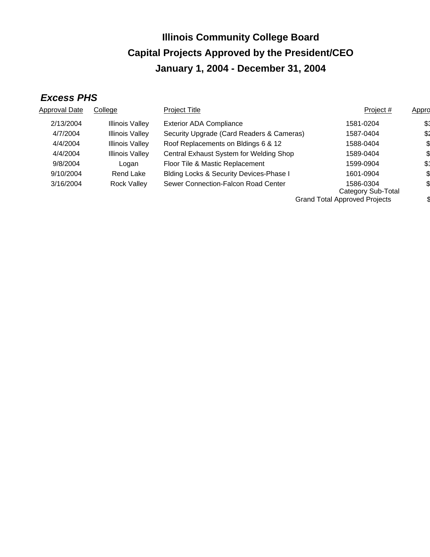# *Excess PHS*

| Approval Date | College                | <b>Project Title</b>                               | Project #                            | Appro |
|---------------|------------------------|----------------------------------------------------|--------------------------------------|-------|
| 2/13/2004     | Illinois Valley        | <b>Exterior ADA Compliance</b>                     | 1581-0204                            | \$:   |
| 4/7/2004      | <b>Illinois Valley</b> | Security Upgrade (Card Readers & Cameras)          | 1587-0404                            | \$2   |
| 4/4/2004      | <b>Illinois Valley</b> | Roof Replacements on Bldings 6 & 12                | 1588-0404                            |       |
| 4/4/2004      | <b>Illinois Valley</b> | Central Exhaust System for Welding Shop            | 1589-0404                            |       |
| 9/8/2004      | Logan                  | Floor Tile & Mastic Replacement                    | 1599-0904                            | \$1   |
| 9/10/2004     | Rend Lake              | <b>Blding Locks &amp; Security Devices-Phase I</b> | 1601-0904                            |       |
| 3/16/2004     | <b>Rock Valley</b>     | Sewer Connection-Falcon Road Center                | 1586-0304<br>Category Sub-Total      |       |
|               |                        |                                                    | <b>Grand Total Approved Projects</b> |       |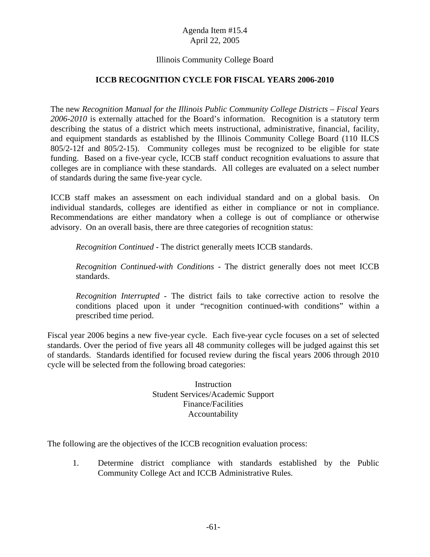## Illinois Community College Board

#### **ICCB RECOGNITION CYCLE FOR FISCAL YEARS 2006-2010**

The new *Recognition Manual for the Illinois Public Community College Districts – Fiscal Years 2006-2010* is externally attached for the Board's information. Recognition is a statutory term describing the status of a district which meets instructional, administrative, financial, facility, and equipment standards as established by the Illinois Community College Board (110 ILCS 805/2-12f and 805/2-15). Community colleges must be recognized to be eligible for state funding. Based on a five-year cycle, ICCB staff conduct recognition evaluations to assure that colleges are in compliance with these standards. All colleges are evaluated on a select number of standards during the same five-year cycle.

ICCB staff makes an assessment on each individual standard and on a global basis. On individual standards, colleges are identified as either in compliance or not in compliance. Recommendations are either mandatory when a college is out of compliance or otherwise advisory. On an overall basis, there are three categories of recognition status:

*Recognition Continued* - The district generally meets ICCB standards.

*Recognition Continued-with Conditions* - The district generally does not meet ICCB standards.

*Recognition Interrupted* - The district fails to take corrective action to resolve the conditions placed upon it under "recognition continued-with conditions" within a prescribed time period.

Fiscal year 2006 begins a new five-year cycle. Each five-year cycle focuses on a set of selected standards. Over the period of five years all 48 community colleges will be judged against this set of standards. Standards identified for focused review during the fiscal years 2006 through 2010 cycle will be selected from the following broad categories:

> **Instruction** Student Services/Academic Support Finance/Facilities Accountability

The following are the objectives of the ICCB recognition evaluation process:

1. Determine district compliance with standards established by the Public Community College Act and ICCB Administrative Rules.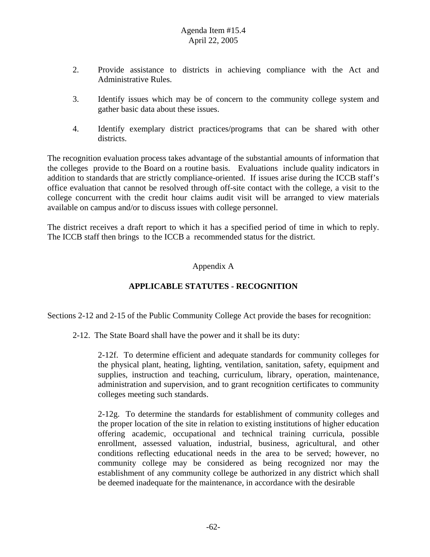- 2. Provide assistance to districts in achieving compliance with the Act and Administrative Rules.
- 3. Identify issues which may be of concern to the community college system and gather basic data about these issues.
- 4. Identify exemplary district practices/programs that can be shared with other districts.

The recognition evaluation process takes advantage of the substantial amounts of information that the colleges provide to the Board on a routine basis. Evaluations include quality indicators in addition to standards that are strictly compliance-oriented. If issues arise during the ICCB staff's office evaluation that cannot be resolved through off-site contact with the college, a visit to the college concurrent with the credit hour claims audit visit will be arranged to view materials available on campus and/or to discuss issues with college personnel.

The district receives a draft report to which it has a specified period of time in which to reply. The ICCB staff then brings to the ICCB a recommended status for the district.

# Appendix A

# **APPLICABLE STATUTES - RECOGNITION**

Sections 2-12 and 2-15 of the Public Community College Act provide the bases for recognition:

2-12. The State Board shall have the power and it shall be its duty:

2-12f. To determine efficient and adequate standards for community colleges for the physical plant, heating, lighting, ventilation, sanitation, safety, equipment and supplies, instruction and teaching, curriculum, library, operation, maintenance, administration and supervision, and to grant recognition certificates to community colleges meeting such standards.

2-12g. To determine the standards for establishment of community colleges and the proper location of the site in relation to existing institutions of higher education offering academic, occupational and technical training curricula, possible enrollment, assessed valuation, industrial, business, agricultural, and other conditions reflecting educational needs in the area to be served; however, no community college may be considered as being recognized nor may the establishment of any community college be authorized in any district which shall be deemed inadequate for the maintenance, in accordance with the desirable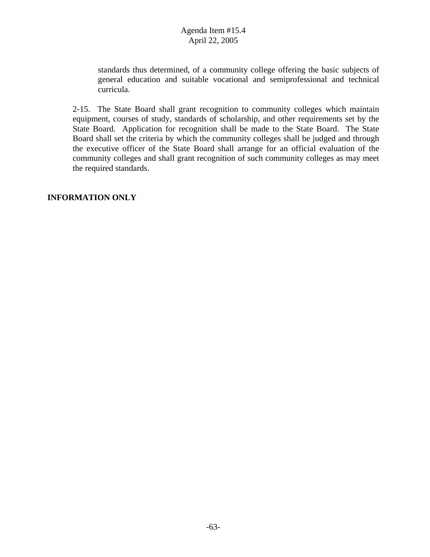standards thus determined, of a community college offering the basic subjects of general education and suitable vocational and semiprofessional and technical curricula.

2-15. The State Board shall grant recognition to community colleges which maintain equipment, courses of study, standards of scholarship, and other requirements set by the State Board. Application for recognition shall be made to the State Board. The State Board shall set the criteria by which the community colleges shall be judged and through the executive officer of the State Board shall arrange for an official evaluation of the community colleges and shall grant recognition of such community colleges as may meet the required standards.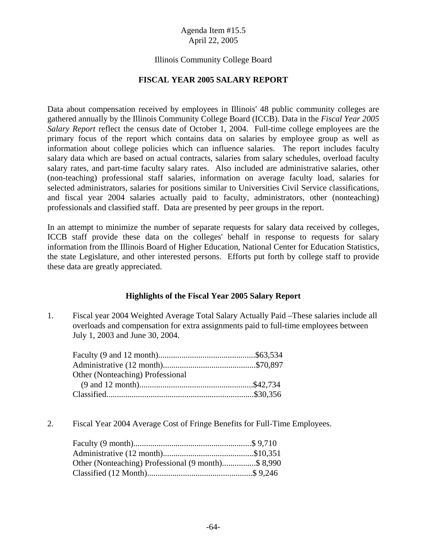#### Illinois Community College Board

#### **FISCAL YEAR 2005 SALARY REPORT**

Data about compensation received by employees in Illinois' 48 public community colleges are gathered annually by the Illinois Community College Board (ICCB). Data in the *Fiscal Year 2005 Salary Report* reflect the census date of October 1, 2004. Full-time college employees are the primary focus of the report which contains data on salaries by employee group as well as information about college policies which can influence salaries. The report includes faculty salary data which are based on actual contracts, salaries from salary schedules, overload faculty salary rates, and part-time faculty salary rates. Also included are administrative salaries, other (non-teaching) professional staff salaries, information on average faculty load, salaries for selected administrators, salaries for positions similar to Universities Civil Service classifications, and fiscal year 2004 salaries actually paid to faculty, administrators, other (nonteaching) professionals and classified staff. Data are presented by peer groups in the report.

In an attempt to minimize the number of separate requests for salary data received by colleges, ICCB staff provide these data on the colleges' behalf in response to requests for salary information from the Illinois Board of Higher Education, National Center for Education Statistics, the state Legislature, and other interested persons. Efforts put forth by college staff to provide these data are greatly appreciated.

#### **Highlights of the Fiscal Year 2005 Salary Report**

1. Fiscal year 2004 Weighted Average Total Salary Actually Paid –These salaries include all overloads and compensation for extra assignments paid to full-time employees between July 1, 2003 and June 30, 2004.

| Other (Nonteaching) Professional |  |
|----------------------------------|--|
|                                  |  |
|                                  |  |

2. Fiscal Year 2004 Average Cost of Fringe Benefits for Full-Time Employees.

| Other (Nonteaching) Professional (9 month)\$ 8,990 |  |
|----------------------------------------------------|--|
|                                                    |  |
|                                                    |  |